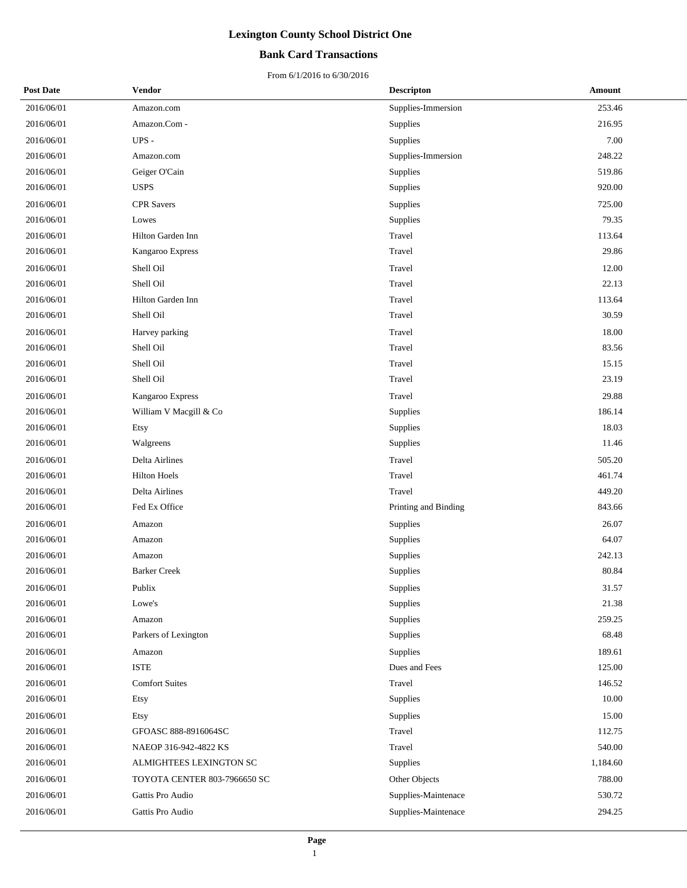### **Bank Card Transactions**

| <b>Post Date</b> | Vendor                       | <b>Descripton</b>    | Amount   |
|------------------|------------------------------|----------------------|----------|
| 2016/06/01       | Amazon.com                   | Supplies-Immersion   | 253.46   |
| 2016/06/01       | Amazon.Com -                 | Supplies             | 216.95   |
| 2016/06/01       | UPS -                        | Supplies             | 7.00     |
| 2016/06/01       | Amazon.com                   | Supplies-Immersion   | 248.22   |
| 2016/06/01       | Geiger O'Cain                | Supplies             | 519.86   |
| 2016/06/01       | <b>USPS</b>                  | Supplies             | 920.00   |
| 2016/06/01       | <b>CPR</b> Savers            | <b>Supplies</b>      | 725.00   |
| 2016/06/01       | Lowes                        | Supplies             | 79.35    |
| 2016/06/01       | Hilton Garden Inn            | Travel               | 113.64   |
| 2016/06/01       | Kangaroo Express             | Travel               | 29.86    |
| 2016/06/01       | Shell Oil                    | Travel               | 12.00    |
| 2016/06/01       | Shell Oil                    | Travel               | 22.13    |
| 2016/06/01       | Hilton Garden Inn            | Travel               | 113.64   |
| 2016/06/01       | Shell Oil                    | Travel               | 30.59    |
| 2016/06/01       | Harvey parking               | Travel               | 18.00    |
| 2016/06/01       | Shell Oil                    | Travel               | 83.56    |
| 2016/06/01       | Shell Oil                    | Travel               | 15.15    |
| 2016/06/01       | Shell Oil                    | Travel               | 23.19    |
| 2016/06/01       | Kangaroo Express             | Travel               | 29.88    |
| 2016/06/01       | William V Macgill & Co       | Supplies             | 186.14   |
| 2016/06/01       | Etsy                         | Supplies             | 18.03    |
| 2016/06/01       | Walgreens                    | Supplies             | 11.46    |
| 2016/06/01       | Delta Airlines               | Travel               | 505.20   |
| 2016/06/01       | <b>Hilton Hoels</b>          | Travel               | 461.74   |
| 2016/06/01       | Delta Airlines               | Travel               | 449.20   |
| 2016/06/01       | Fed Ex Office                | Printing and Binding | 843.66   |
| 2016/06/01       | Amazon                       | Supplies             | 26.07    |
| 2016/06/01       | Amazon                       | Supplies             | 64.07    |
| 2016/06/01       | Amazon                       | Supplies             | 242.13   |
| 2016/06/01       | <b>Barker Creek</b>          | Supplies             | 80.84    |
| 2016/06/01       | Publix                       | Supplies             | 31.57    |
| 2016/06/01       | Lowe's                       | Supplies             | 21.38    |
| 2016/06/01       | Amazon                       | Supplies             | 259.25   |
| 2016/06/01       | Parkers of Lexington         | Supplies             | 68.48    |
| 2016/06/01       | Amazon                       | Supplies             | 189.61   |
| 2016/06/01       | <b>ISTE</b>                  | Dues and Fees        | 125.00   |
| 2016/06/01       | <b>Comfort Suites</b>        | Travel               | 146.52   |
| 2016/06/01       | Etsy                         | Supplies             | 10.00    |
| 2016/06/01       | Etsy                         | Supplies             | 15.00    |
| 2016/06/01       | GFOASC 888-8916064SC         | Travel               | 112.75   |
| 2016/06/01       | NAEOP 316-942-4822 KS        | Travel               | 540.00   |
| 2016/06/01       | ALMIGHTEES LEXINGTON SC      | Supplies             | 1,184.60 |
| 2016/06/01       | TOYOTA CENTER 803-7966650 SC | Other Objects        | 788.00   |
| 2016/06/01       | Gattis Pro Audio             | Supplies-Maintenace  | 530.72   |
| 2016/06/01       | Gattis Pro Audio             | Supplies-Maintenace  | 294.25   |
|                  |                              |                      |          |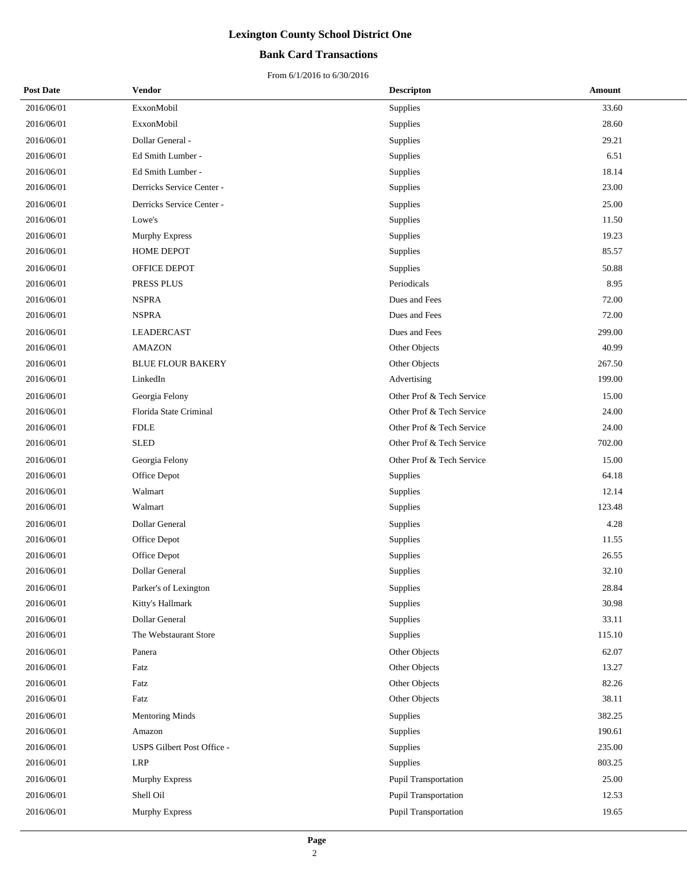### **Bank Card Transactions**

| <b>Post Date</b> | <b>Vendor</b>              | <b>Descripton</b>         | <b>Amount</b> |
|------------------|----------------------------|---------------------------|---------------|
| 2016/06/01       | ExxonMobil                 | Supplies                  | 33.60         |
| 2016/06/01       | ExxonMobil                 | Supplies                  | 28.60         |
| 2016/06/01       | Dollar General -           | Supplies                  | 29.21         |
| 2016/06/01       | Ed Smith Lumber -          | Supplies                  | 6.51          |
| 2016/06/01       | Ed Smith Lumber -          | Supplies                  | 18.14         |
| 2016/06/01       | Derricks Service Center -  | Supplies                  | 23.00         |
| 2016/06/01       | Derricks Service Center -  | Supplies                  | 25.00         |
| 2016/06/01       | Lowe's                     | Supplies                  | 11.50         |
| 2016/06/01       | Murphy Express             | Supplies                  | 19.23         |
| 2016/06/01       | HOME DEPOT                 | Supplies                  | 85.57         |
| 2016/06/01       | OFFICE DEPOT               | Supplies                  | 50.88         |
| 2016/06/01       | PRESS PLUS                 | Periodicals               | 8.95          |
| 2016/06/01       | <b>NSPRA</b>               | Dues and Fees             | 72.00         |
| 2016/06/01       | <b>NSPRA</b>               | Dues and Fees             | 72.00         |
| 2016/06/01       | <b>LEADERCAST</b>          | Dues and Fees             | 299.00        |
| 2016/06/01       | <b>AMAZON</b>              | Other Objects             | 40.99         |
| 2016/06/01       | <b>BLUE FLOUR BAKERY</b>   | Other Objects             | 267.50        |
| 2016/06/01       | LinkedIn                   | Advertising               | 199.00        |
| 2016/06/01       | Georgia Felony             | Other Prof & Tech Service | 15.00         |
| 2016/06/01       | Florida State Criminal     | Other Prof & Tech Service | 24.00         |
| 2016/06/01       | <b>FDLE</b>                | Other Prof & Tech Service | 24.00         |
| 2016/06/01       | <b>SLED</b>                | Other Prof & Tech Service | 702.00        |
| 2016/06/01       | Georgia Felony             | Other Prof & Tech Service | 15.00         |
| 2016/06/01       | Office Depot               | Supplies                  | 64.18         |
| 2016/06/01       | Walmart                    | Supplies                  | 12.14         |
| 2016/06/01       | Walmart                    | Supplies                  | 123.48        |
| 2016/06/01       | Dollar General             | Supplies                  | 4.28          |
| 2016/06/01       | Office Depot               | Supplies                  | 11.55         |
| 2016/06/01       | Office Depot               | Supplies                  | 26.55         |
| 2016/06/01       | Dollar General             | Supplies                  | 32.10         |
| 2016/06/01       | Parker's of Lexington      | Supplies                  | 28.84         |
| 2016/06/01       | Kitty's Hallmark           | Supplies                  | 30.98         |
| 2016/06/01       | Dollar General             | Supplies                  | 33.11         |
| 2016/06/01       | The Webstaurant Store      | Supplies                  | 115.10        |
| 2016/06/01       | Panera                     | Other Objects             | 62.07         |
| 2016/06/01       | Fatz                       | Other Objects             | 13.27         |
| 2016/06/01       | Fatz                       | Other Objects             | 82.26         |
| 2016/06/01       | Fatz                       | Other Objects             | 38.11         |
| 2016/06/01       | <b>Mentoring Minds</b>     | Supplies                  | 382.25        |
| 2016/06/01       | Amazon                     | Supplies                  | 190.61        |
| 2016/06/01       | USPS Gilbert Post Office - | Supplies                  | 235.00        |
| 2016/06/01       | <b>LRP</b>                 | Supplies                  | 803.25        |
| 2016/06/01       | Murphy Express             | Pupil Transportation      | 25.00         |
| 2016/06/01       | Shell Oil                  | Pupil Transportation      | 12.53         |
| 2016/06/01       | Murphy Express             | Pupil Transportation      | 19.65         |
|                  |                            |                           |               |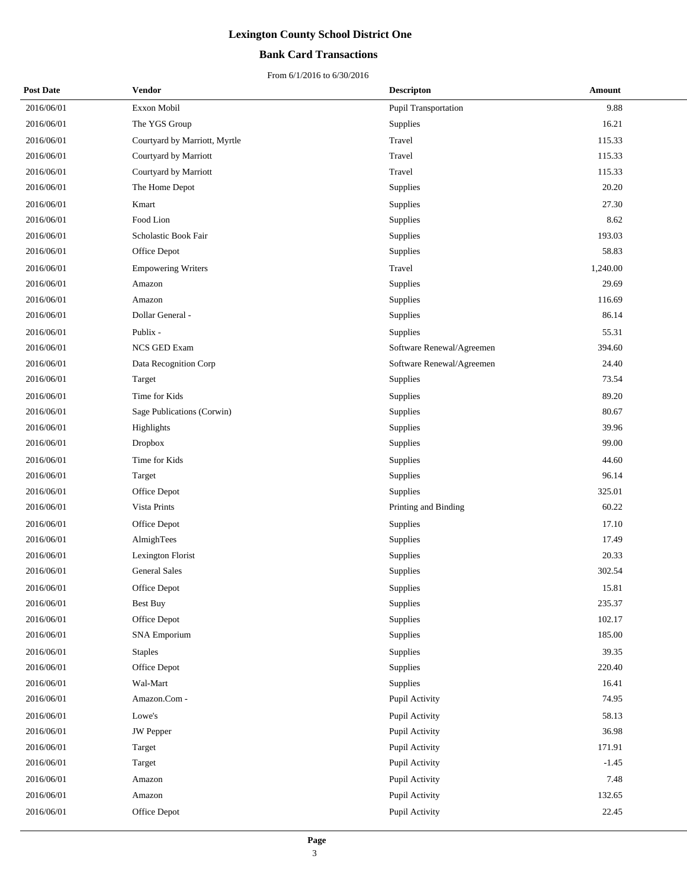### **Bank Card Transactions**

| <b>Post Date</b> | Vendor                        | <b>Descripton</b>           | Amount   |
|------------------|-------------------------------|-----------------------------|----------|
| 2016/06/01       | Exxon Mobil                   | <b>Pupil Transportation</b> | 9.88     |
| 2016/06/01       | The YGS Group                 | Supplies                    | 16.21    |
| 2016/06/01       | Courtyard by Marriott, Myrtle | Travel                      | 115.33   |
| 2016/06/01       | Courtyard by Marriott         | Travel                      | 115.33   |
| 2016/06/01       | Courtyard by Marriott         | Travel                      | 115.33   |
| 2016/06/01       | The Home Depot                | Supplies                    | 20.20    |
| 2016/06/01       | Kmart                         | Supplies                    | 27.30    |
| 2016/06/01       | Food Lion                     | Supplies                    | 8.62     |
| 2016/06/01       | Scholastic Book Fair          | Supplies                    | 193.03   |
| 2016/06/01       | Office Depot                  | Supplies                    | 58.83    |
| 2016/06/01       | <b>Empowering Writers</b>     | Travel                      | 1,240.00 |
| 2016/06/01       | Amazon                        | Supplies                    | 29.69    |
| 2016/06/01       | Amazon                        | Supplies                    | 116.69   |
| 2016/06/01       | Dollar General -              | Supplies                    | 86.14    |
| 2016/06/01       | Publix -                      | Supplies                    | 55.31    |
| 2016/06/01       | NCS GED Exam                  | Software Renewal/Agreemen   | 394.60   |
| 2016/06/01       | Data Recognition Corp         | Software Renewal/Agreemen   | 24.40    |
| 2016/06/01       | Target                        | Supplies                    | 73.54    |
| 2016/06/01       | Time for Kids                 | Supplies                    | 89.20    |
| 2016/06/01       | Sage Publications (Corwin)    | Supplies                    | 80.67    |
| 2016/06/01       | Highlights                    | Supplies                    | 39.96    |
| 2016/06/01       | Dropbox                       | Supplies                    | 99.00    |
| 2016/06/01       | Time for Kids                 | Supplies                    | 44.60    |
| 2016/06/01       | Target                        | Supplies                    | 96.14    |
| 2016/06/01       | Office Depot                  | Supplies                    | 325.01   |
| 2016/06/01       | Vista Prints                  | Printing and Binding        | 60.22    |
| 2016/06/01       | Office Depot                  | Supplies                    | 17.10    |
| 2016/06/01       | AlmighTees                    | Supplies                    | 17.49    |
| 2016/06/01       | Lexington Florist             | Supplies                    | 20.33    |
| 2016/06/01       | <b>General Sales</b>          | Supplies                    | 302.54   |
| 2016/06/01       | Office Depot                  | Supplies                    | 15.81    |
| 2016/06/01       | <b>Best Buy</b>               | Supplies                    | 235.37   |
| 2016/06/01       | Office Depot                  | Supplies                    | 102.17   |
| 2016/06/01       | <b>SNA Emporium</b>           | Supplies                    | 185.00   |
| 2016/06/01       | <b>Staples</b>                | Supplies                    | 39.35    |
| 2016/06/01       | Office Depot                  | Supplies                    | 220.40   |
| 2016/06/01       | Wal-Mart                      | Supplies                    | 16.41    |
| 2016/06/01       | Amazon.Com -                  | Pupil Activity              | 74.95    |
| 2016/06/01       | Lowe's                        | Pupil Activity              | 58.13    |
| 2016/06/01       | JW Pepper                     | Pupil Activity              | 36.98    |
| 2016/06/01       | Target                        | Pupil Activity              | 171.91   |
| 2016/06/01       | Target                        | Pupil Activity              | $-1.45$  |
| 2016/06/01       | Amazon                        | Pupil Activity              | 7.48     |
| 2016/06/01       | Amazon                        | Pupil Activity              | 132.65   |
| 2016/06/01       | Office Depot                  | Pupil Activity              | 22.45    |
|                  |                               |                             |          |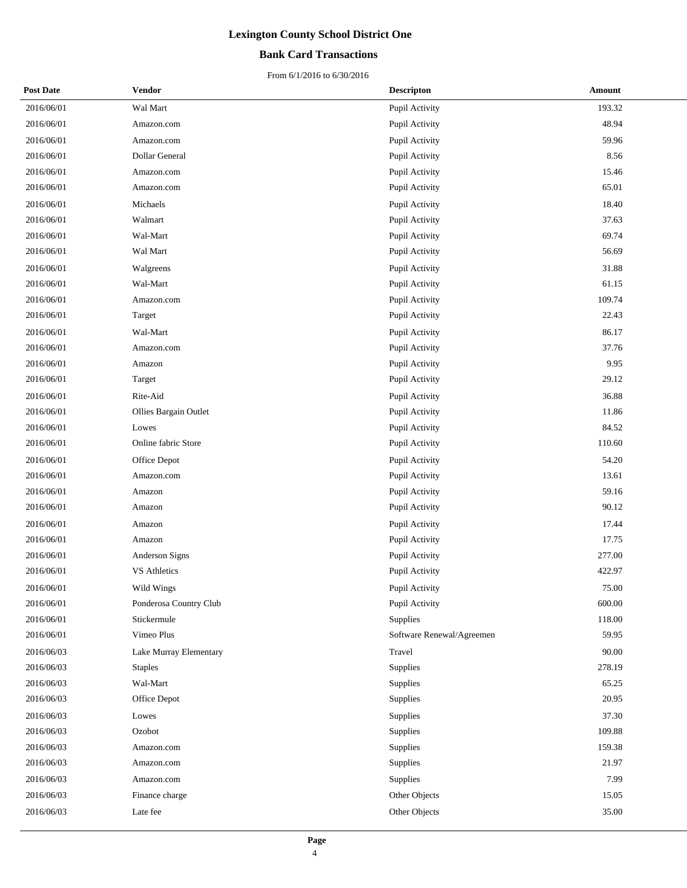### **Bank Card Transactions**

| <b>Post Date</b> | Vendor                 | <b>Descripton</b>         | <b>Amount</b> |
|------------------|------------------------|---------------------------|---------------|
| 2016/06/01       | Wal Mart               | Pupil Activity            | 193.32        |
| 2016/06/01       | Amazon.com             | Pupil Activity            | 48.94         |
| 2016/06/01       | Amazon.com             | Pupil Activity            | 59.96         |
| 2016/06/01       | Dollar General         | Pupil Activity            | 8.56          |
| 2016/06/01       | Amazon.com             | Pupil Activity            | 15.46         |
| 2016/06/01       | Amazon.com             | Pupil Activity            | 65.01         |
| 2016/06/01       | Michaels               | Pupil Activity            | 18.40         |
| 2016/06/01       | Walmart                | Pupil Activity            | 37.63         |
| 2016/06/01       | Wal-Mart               | Pupil Activity            | 69.74         |
| 2016/06/01       | Wal Mart               | Pupil Activity            | 56.69         |
| 2016/06/01       | Walgreens              | Pupil Activity            | 31.88         |
| 2016/06/01       | Wal-Mart               | Pupil Activity            | 61.15         |
| 2016/06/01       | Amazon.com             | Pupil Activity            | 109.74        |
| 2016/06/01       | Target                 | Pupil Activity            | 22.43         |
| 2016/06/01       | Wal-Mart               | Pupil Activity            | 86.17         |
| 2016/06/01       | Amazon.com             | Pupil Activity            | 37.76         |
| 2016/06/01       | Amazon                 | Pupil Activity            | 9.95          |
| 2016/06/01       | Target                 | Pupil Activity            | 29.12         |
| 2016/06/01       | Rite-Aid               | Pupil Activity            | 36.88         |
| 2016/06/01       | Ollies Bargain Outlet  | Pupil Activity            | 11.86         |
| 2016/06/01       | Lowes                  | Pupil Activity            | 84.52         |
| 2016/06/01       | Online fabric Store    | Pupil Activity            | 110.60        |
| 2016/06/01       | Office Depot           | Pupil Activity            | 54.20         |
| 2016/06/01       | Amazon.com             | Pupil Activity            | 13.61         |
| 2016/06/01       | Amazon                 | Pupil Activity            | 59.16         |
| 2016/06/01       | Amazon                 | Pupil Activity            | 90.12         |
| 2016/06/01       | Amazon                 | Pupil Activity            | 17.44         |
| 2016/06/01       | Amazon                 | Pupil Activity            | 17.75         |
| 2016/06/01       | Anderson Signs         | Pupil Activity            | 277.00        |
| 2016/06/01       | <b>VS Athletics</b>    | Pupil Activity            | 422.97        |
| 2016/06/01       | Wild Wings             | Pupil Activity            | 75.00         |
| 2016/06/01       | Ponderosa Country Club | Pupil Activity            | 600.00        |
| 2016/06/01       | Stickermule            | Supplies                  | 118.00        |
| 2016/06/01       | Vimeo Plus             | Software Renewal/Agreemen | 59.95         |
| 2016/06/03       | Lake Murray Elementary | Travel                    | 90.00         |
| 2016/06/03       | <b>Staples</b>         | Supplies                  | 278.19        |
| 2016/06/03       | Wal-Mart               | Supplies                  | 65.25         |
| 2016/06/03       | Office Depot           | Supplies                  | 20.95         |
| 2016/06/03       | Lowes                  | Supplies                  | 37.30         |
| 2016/06/03       | Ozobot                 | Supplies                  | 109.88        |
| 2016/06/03       | Amazon.com             | Supplies                  | 159.38        |
| 2016/06/03       | Amazon.com             | Supplies                  | 21.97         |
| 2016/06/03       | Amazon.com             | Supplies                  | 7.99          |
| 2016/06/03       | Finance charge         | Other Objects             | 15.05         |
| 2016/06/03       | Late fee               | Other Objects             | 35.00         |
|                  |                        |                           |               |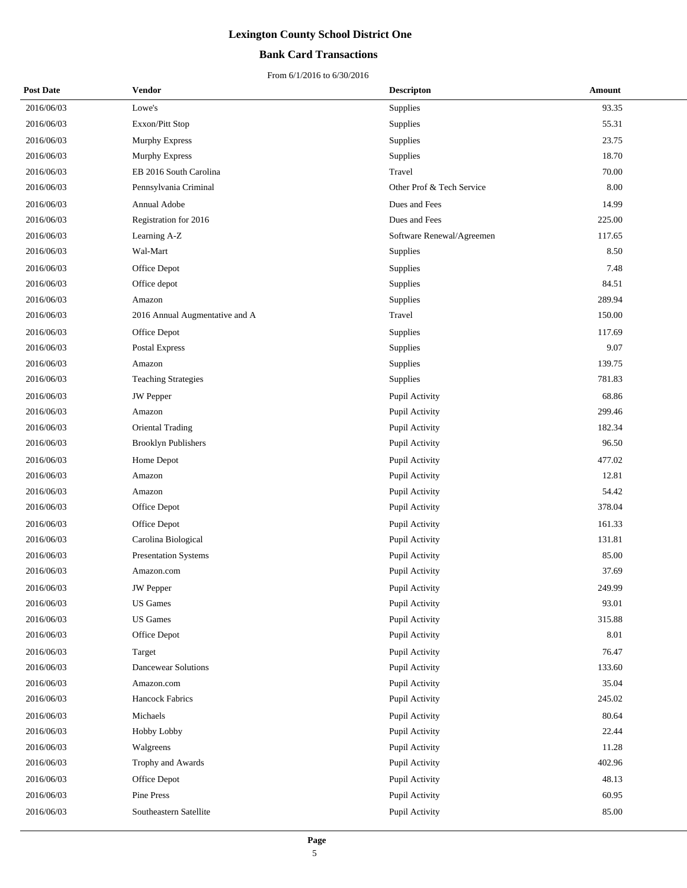### **Bank Card Transactions**

| <b>Post Date</b> | Vendor                           | <b>Descripton</b>         | Amount |
|------------------|----------------------------------|---------------------------|--------|
| 2016/06/03       | Lowe's                           | Supplies                  | 93.35  |
| 2016/06/03       | Exxon/Pitt Stop                  | Supplies                  | 55.31  |
| 2016/06/03       | Murphy Express                   | Supplies                  | 23.75  |
| 2016/06/03       | Murphy Express                   | Supplies                  | 18.70  |
| 2016/06/03       | EB 2016 South Carolina           | Travel                    | 70.00  |
| 2016/06/03       | Pennsylvania Criminal            | Other Prof & Tech Service | 8.00   |
| 2016/06/03       | Annual Adobe                     | Dues and Fees             | 14.99  |
| 2016/06/03       | Registration for 2016            | Dues and Fees             | 225.00 |
| 2016/06/03       | Learning A-Z                     | Software Renewal/Agreemen | 117.65 |
| 2016/06/03       | Wal-Mart                         | Supplies                  | 8.50   |
| 2016/06/03       | Office Depot                     | Supplies                  | 7.48   |
| 2016/06/03       | Office depot                     | Supplies                  | 84.51  |
| 2016/06/03       | Amazon                           | Supplies                  | 289.94 |
| 2016/06/03       | 2016 Annual Augmentative and A   | Travel                    | 150.00 |
| 2016/06/03       | Office Depot                     | Supplies                  | 117.69 |
| 2016/06/03       | Postal Express                   | Supplies                  | 9.07   |
| 2016/06/03       | Amazon                           | Supplies                  | 139.75 |
| 2016/06/03       | <b>Teaching Strategies</b>       | Supplies                  | 781.83 |
| 2016/06/03       | <b>JW</b> Pepper                 | Pupil Activity            | 68.86  |
| 2016/06/03       | Amazon                           | Pupil Activity            | 299.46 |
| 2016/06/03       | <b>Oriental Trading</b>          | Pupil Activity            | 182.34 |
| 2016/06/03       | <b>Brooklyn Publishers</b>       | Pupil Activity            | 96.50  |
| 2016/06/03       | Home Depot                       | Pupil Activity            | 477.02 |
| 2016/06/03       | Amazon                           | Pupil Activity            | 12.81  |
| 2016/06/03       | Amazon                           | Pupil Activity            | 54.42  |
| 2016/06/03       | Office Depot                     | Pupil Activity            | 378.04 |
| 2016/06/03       | Office Depot                     | Pupil Activity            | 161.33 |
| 2016/06/03       | Carolina Biological              | Pupil Activity            | 131.81 |
| 2016/06/03       | Presentation Systems             | Pupil Activity            | 85.00  |
| 2016/06/03       | Amazon.com                       | Pupil Activity            | 37.69  |
| 2016/06/03       | <b>JW</b> Pepper                 | Pupil Activity            | 249.99 |
| 2016/06/03       | $\ensuremath{\mathsf{US}}$ Games | Pupil Activity            | 93.01  |
| 2016/06/03       | <b>US</b> Games                  | Pupil Activity            | 315.88 |
| 2016/06/03       | Office Depot                     | Pupil Activity            | 8.01   |
| 2016/06/03       | Target                           | Pupil Activity            | 76.47  |
| 2016/06/03       | <b>Dancewear Solutions</b>       | Pupil Activity            | 133.60 |
| 2016/06/03       | Amazon.com                       | Pupil Activity            | 35.04  |
| 2016/06/03       | <b>Hancock Fabrics</b>           | Pupil Activity            | 245.02 |
| 2016/06/03       | Michaels                         | Pupil Activity            | 80.64  |
| 2016/06/03       | Hobby Lobby                      | Pupil Activity            | 22.44  |
| 2016/06/03       | Walgreens                        | Pupil Activity            | 11.28  |
| 2016/06/03       | Trophy and Awards                | Pupil Activity            | 402.96 |
| 2016/06/03       | Office Depot                     | Pupil Activity            | 48.13  |
| 2016/06/03       | Pine Press                       | Pupil Activity            | 60.95  |
| 2016/06/03       | Southeastern Satellite           | Pupil Activity            | 85.00  |
|                  |                                  |                           |        |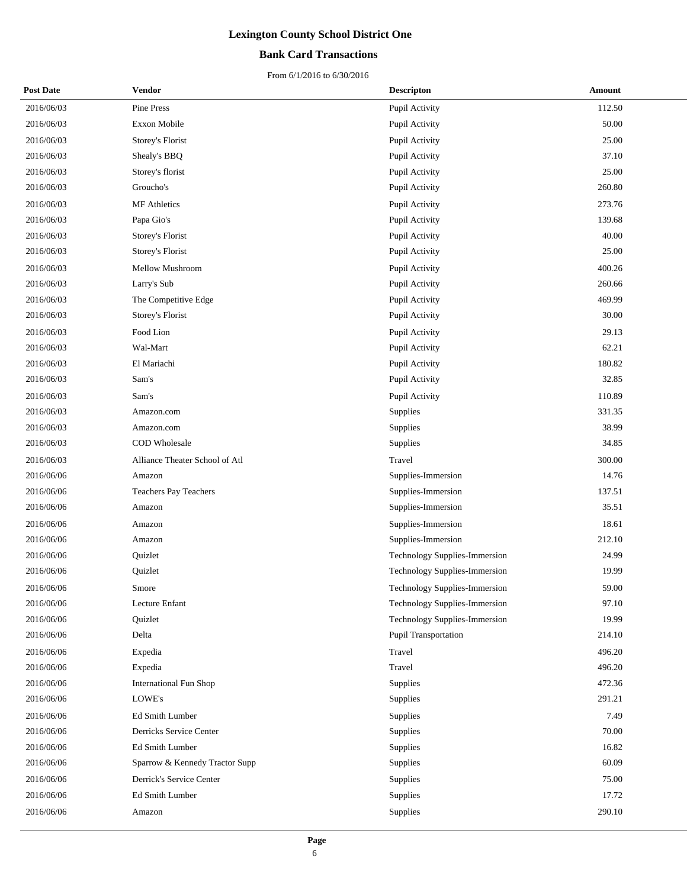### **Bank Card Transactions**

| <b>Post Date</b> | Vendor                         | <b>Descripton</b>             | Amount |
|------------------|--------------------------------|-------------------------------|--------|
| 2016/06/03       | Pine Press                     | Pupil Activity                | 112.50 |
| 2016/06/03       | Exxon Mobile                   | Pupil Activity                | 50.00  |
| 2016/06/03       | Storey's Florist               | Pupil Activity                | 25.00  |
| 2016/06/03       | Shealy's BBQ                   | Pupil Activity                | 37.10  |
| 2016/06/03       | Storey's florist               | Pupil Activity                | 25.00  |
| 2016/06/03       | Groucho's                      | Pupil Activity                | 260.80 |
| 2016/06/03       | <b>MF</b> Athletics            | Pupil Activity                | 273.76 |
| 2016/06/03       | Papa Gio's                     | Pupil Activity                | 139.68 |
| 2016/06/03       | Storey's Florist               | Pupil Activity                | 40.00  |
| 2016/06/03       | Storey's Florist               | Pupil Activity                | 25.00  |
| 2016/06/03       | Mellow Mushroom                | Pupil Activity                | 400.26 |
| 2016/06/03       | Larry's Sub                    | Pupil Activity                | 260.66 |
| 2016/06/03       | The Competitive Edge           | Pupil Activity                | 469.99 |
| 2016/06/03       | Storey's Florist               | Pupil Activity                | 30.00  |
| 2016/06/03       | Food Lion                      | Pupil Activity                | 29.13  |
| 2016/06/03       | Wal-Mart                       | Pupil Activity                | 62.21  |
| 2016/06/03       | El Mariachi                    | Pupil Activity                | 180.82 |
| 2016/06/03       | Sam's                          | Pupil Activity                | 32.85  |
| 2016/06/03       | Sam's                          | Pupil Activity                | 110.89 |
| 2016/06/03       | Amazon.com                     | Supplies                      | 331.35 |
| 2016/06/03       | Amazon.com                     | Supplies                      | 38.99  |
| 2016/06/03       | COD Wholesale                  | Supplies                      | 34.85  |
| 2016/06/03       | Alliance Theater School of Atl | Travel                        | 300.00 |
| 2016/06/06       | Amazon                         | Supplies-Immersion            | 14.76  |
| 2016/06/06       | Teachers Pay Teachers          | Supplies-Immersion            | 137.51 |
| 2016/06/06       | Amazon                         | Supplies-Immersion            | 35.51  |
| 2016/06/06       | Amazon                         | Supplies-Immersion            | 18.61  |
| 2016/06/06       | Amazon                         | Supplies-Immersion            | 212.10 |
| 2016/06/06       | Quizlet                        | Technology Supplies-Immersion | 24.99  |
| 2016/06/06       | Quizlet                        | Technology Supplies-Immersion | 19.99  |
| 2016/06/06       | Smore                          | Technology Supplies-Immersion | 59.00  |
| 2016/06/06       | Lecture Enfant                 | Technology Supplies-Immersion | 97.10  |
| 2016/06/06       | Quizlet                        | Technology Supplies-Immersion | 19.99  |
| 2016/06/06       | Delta                          | Pupil Transportation          | 214.10 |
| 2016/06/06       | Expedia                        | Travel                        | 496.20 |
| 2016/06/06       | Expedia                        | Travel                        | 496.20 |
| 2016/06/06       | <b>International Fun Shop</b>  | Supplies                      | 472.36 |
| 2016/06/06       | LOWE's                         | Supplies                      | 291.21 |
| 2016/06/06       | Ed Smith Lumber                | Supplies                      | 7.49   |
| 2016/06/06       | Derricks Service Center        | Supplies                      | 70.00  |
| 2016/06/06       | Ed Smith Lumber                | Supplies                      | 16.82  |
| 2016/06/06       | Sparrow & Kennedy Tractor Supp | Supplies                      | 60.09  |
| 2016/06/06       | Derrick's Service Center       | Supplies                      | 75.00  |
| 2016/06/06       | Ed Smith Lumber                | Supplies                      | 17.72  |
| 2016/06/06       | Amazon                         | Supplies                      | 290.10 |
|                  |                                |                               |        |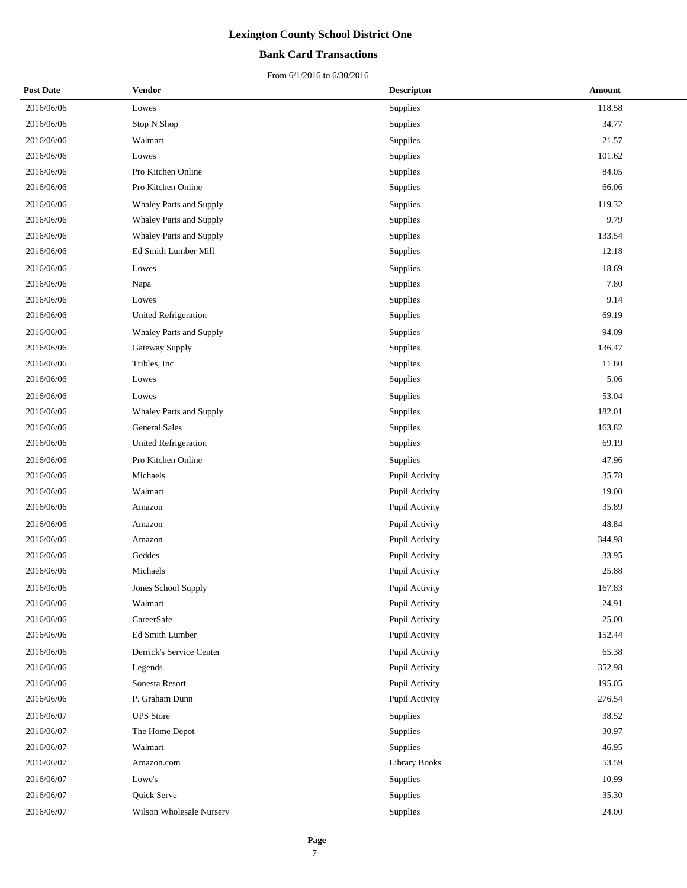### **Bank Card Transactions**

| <b>Post Date</b> | <b>Vendor</b>               | <b>Descripton</b> | <b>Amount</b> |
|------------------|-----------------------------|-------------------|---------------|
| 2016/06/06       | Lowes                       | Supplies          | 118.58        |
| 2016/06/06       | Stop N Shop                 | Supplies          | 34.77         |
| 2016/06/06       | Walmart                     | Supplies          | 21.57         |
| 2016/06/06       | Lowes                       | Supplies          | 101.62        |
| 2016/06/06       | Pro Kitchen Online          | Supplies          | 84.05         |
| 2016/06/06       | Pro Kitchen Online          | Supplies          | 66.06         |
| 2016/06/06       | Whaley Parts and Supply     | Supplies          | 119.32        |
| 2016/06/06       | Whaley Parts and Supply     | Supplies          | 9.79          |
| 2016/06/06       | Whaley Parts and Supply     | Supplies          | 133.54        |
| 2016/06/06       | Ed Smith Lumber Mill        | Supplies          | 12.18         |
| 2016/06/06       | Lowes                       | Supplies          | 18.69         |
| 2016/06/06       | Napa                        | Supplies          | 7.80          |
| 2016/06/06       | Lowes                       | Supplies          | 9.14          |
| 2016/06/06       | United Refrigeration        | Supplies          | 69.19         |
| 2016/06/06       | Whaley Parts and Supply     | Supplies          | 94.09         |
| 2016/06/06       | Gateway Supply              | Supplies          | 136.47        |
| 2016/06/06       | Tribles, Inc.               | Supplies          | 11.80         |
| 2016/06/06       | Lowes                       | Supplies          | 5.06          |
| 2016/06/06       | Lowes                       | Supplies          | 53.04         |
| 2016/06/06       | Whaley Parts and Supply     | Supplies          | 182.01        |
| 2016/06/06       | <b>General Sales</b>        | Supplies          | 163.82        |
| 2016/06/06       | <b>United Refrigeration</b> | Supplies          | 69.19         |
| 2016/06/06       | Pro Kitchen Online          | Supplies          | 47.96         |
| 2016/06/06       | Michaels                    | Pupil Activity    | 35.78         |
| 2016/06/06       | Walmart                     | Pupil Activity    | 19.00         |
| 2016/06/06       | Amazon                      | Pupil Activity    | 35.89         |
| 2016/06/06       | Amazon                      | Pupil Activity    | 48.84         |
| 2016/06/06       | Amazon                      | Pupil Activity    | 344.98        |
| 2016/06/06       | Geddes                      | Pupil Activity    | 33.95         |
| 2016/06/06       | Michaels                    | Pupil Activity    | 25.88         |
| 2016/06/06       | Jones School Supply         | Pupil Activity    | 167.83        |
| 2016/06/06       | Walmart                     | Pupil Activity    | 24.91         |
| 2016/06/06       | CareerSafe                  | Pupil Activity    | 25.00         |
| 2016/06/06       | Ed Smith Lumber             | Pupil Activity    | 152.44        |
| 2016/06/06       | Derrick's Service Center    | Pupil Activity    | 65.38         |
| 2016/06/06       | Legends                     | Pupil Activity    | 352.98        |
| 2016/06/06       | Sonesta Resort              | Pupil Activity    | 195.05        |
| 2016/06/06       | P. Graham Dunn              | Pupil Activity    | 276.54        |
| 2016/06/07       | <b>UPS</b> Store            | Supplies          | 38.52         |
| 2016/06/07       | The Home Depot              | Supplies          | 30.97         |
| 2016/06/07       | Walmart                     | Supplies          | 46.95         |
| 2016/06/07       | Amazon.com                  | Library Books     | 53.59         |
| 2016/06/07       | Lowe's                      | Supplies          | 10.99         |
| 2016/06/07       | Quick Serve                 | Supplies          | 35.30         |
| 2016/06/07       | Wilson Wholesale Nursery    | Supplies          | 24.00         |
|                  |                             |                   |               |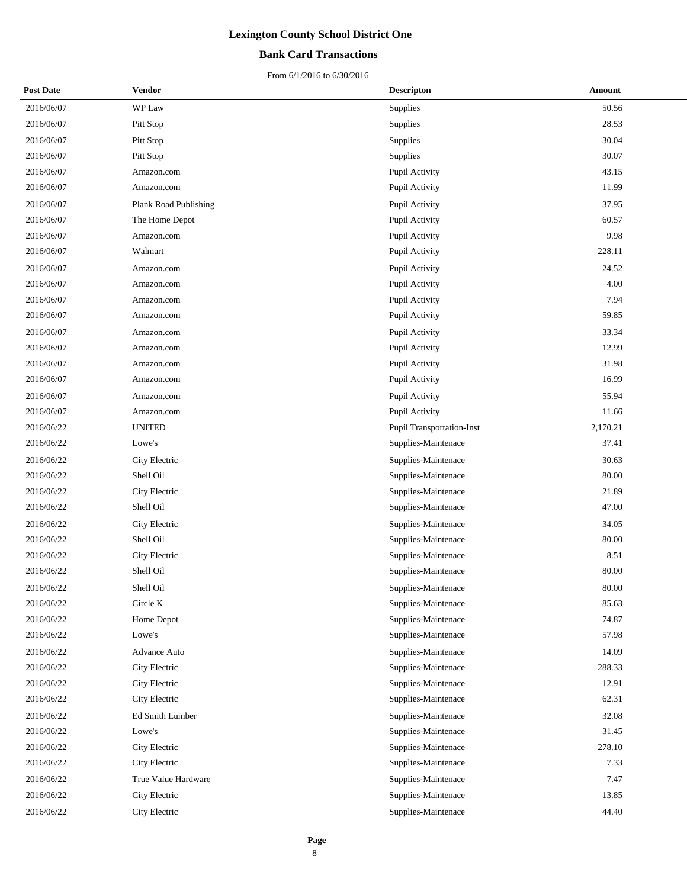### **Bank Card Transactions**

| <b>Post Date</b> | Vendor                | <b>Descripton</b>         | Amount   |
|------------------|-----------------------|---------------------------|----------|
| 2016/06/07       | WP Law                | Supplies                  | 50.56    |
| 2016/06/07       | Pitt Stop             | Supplies                  | 28.53    |
| 2016/06/07       | Pitt Stop             | <b>Supplies</b>           | 30.04    |
| 2016/06/07       | Pitt Stop             | Supplies                  | 30.07    |
| 2016/06/07       | Amazon.com            | Pupil Activity            | 43.15    |
| 2016/06/07       | Amazon.com            | Pupil Activity            | 11.99    |
| 2016/06/07       | Plank Road Publishing | Pupil Activity            | 37.95    |
| 2016/06/07       | The Home Depot        | Pupil Activity            | 60.57    |
| 2016/06/07       | Amazon.com            | Pupil Activity            | 9.98     |
| 2016/06/07       | Walmart               | Pupil Activity            | 228.11   |
| 2016/06/07       | Amazon.com            | Pupil Activity            | 24.52    |
| 2016/06/07       | Amazon.com            | Pupil Activity            | 4.00     |
| 2016/06/07       | Amazon.com            | Pupil Activity            | 7.94     |
| 2016/06/07       | Amazon.com            | Pupil Activity            | 59.85    |
| 2016/06/07       | Amazon.com            | Pupil Activity            | 33.34    |
| 2016/06/07       | Amazon.com            | Pupil Activity            | 12.99    |
| 2016/06/07       | Amazon.com            | Pupil Activity            | 31.98    |
| 2016/06/07       | Amazon.com            | Pupil Activity            | 16.99    |
| 2016/06/07       | Amazon.com            | Pupil Activity            | 55.94    |
| 2016/06/07       | Amazon.com            | Pupil Activity            | 11.66    |
| 2016/06/22       | <b>UNITED</b>         | Pupil Transportation-Inst | 2,170.21 |
| 2016/06/22       | Lowe's                | Supplies-Maintenace       | 37.41    |
| 2016/06/22       | City Electric         | Supplies-Maintenace       | 30.63    |
| 2016/06/22       | Shell Oil             | Supplies-Maintenace       | 80.00    |
| 2016/06/22       | City Electric         | Supplies-Maintenace       | 21.89    |
| 2016/06/22       | Shell Oil             | Supplies-Maintenace       | 47.00    |
| 2016/06/22       | City Electric         | Supplies-Maintenace       | 34.05    |
| 2016/06/22       | Shell Oil             | Supplies-Maintenace       | 80.00    |
| 2016/06/22       | City Electric         | Supplies-Maintenace       | 8.51     |
| 2016/06/22       | Shell Oil             | Supplies-Maintenace       | 80.00    |
| 2016/06/22       | Shell Oil             | Supplies-Maintenace       | 80.00    |
| 2016/06/22       | Circle K              | Supplies-Maintenace       | 85.63    |
| 2016/06/22       | Home Depot            | Supplies-Maintenace       | 74.87    |
| 2016/06/22       | Lowe's                | Supplies-Maintenace       | 57.98    |
| 2016/06/22       | Advance Auto          | Supplies-Maintenace       | 14.09    |
| 2016/06/22       | City Electric         | Supplies-Maintenace       | 288.33   |
| 2016/06/22       | City Electric         | Supplies-Maintenace       | 12.91    |
| 2016/06/22       | City Electric         | Supplies-Maintenace       | 62.31    |
| 2016/06/22       | Ed Smith Lumber       | Supplies-Maintenace       | 32.08    |
| 2016/06/22       | Lowe's                | Supplies-Maintenace       | 31.45    |
| 2016/06/22       | City Electric         | Supplies-Maintenace       | 278.10   |
| 2016/06/22       | City Electric         | Supplies-Maintenace       | 7.33     |
| 2016/06/22       | True Value Hardware   | Supplies-Maintenace       | 7.47     |
| 2016/06/22       | City Electric         | Supplies-Maintenace       | 13.85    |
| 2016/06/22       | City Electric         | Supplies-Maintenace       | 44.40    |
|                  |                       |                           |          |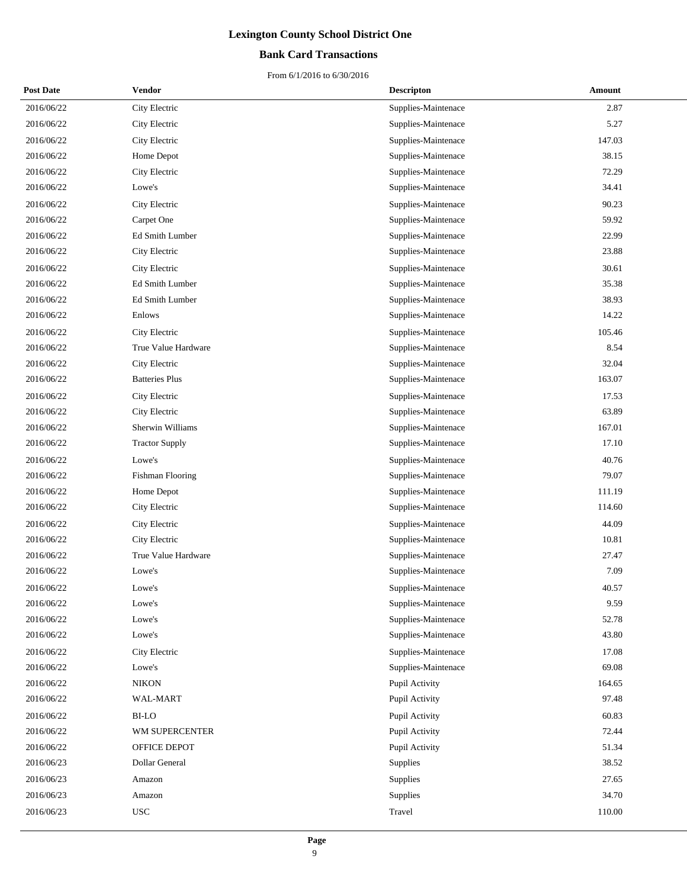### **Bank Card Transactions**

| <b>Post Date</b> | Vendor                | <b>Descripton</b>   | Amount |
|------------------|-----------------------|---------------------|--------|
| 2016/06/22       | City Electric         | Supplies-Maintenace | 2.87   |
| 2016/06/22       | City Electric         | Supplies-Maintenace | 5.27   |
| 2016/06/22       | City Electric         | Supplies-Maintenace | 147.03 |
| 2016/06/22       | Home Depot            | Supplies-Maintenace | 38.15  |
| 2016/06/22       | City Electric         | Supplies-Maintenace | 72.29  |
| 2016/06/22       | Lowe's                | Supplies-Maintenace | 34.41  |
| 2016/06/22       | City Electric         | Supplies-Maintenace | 90.23  |
| 2016/06/22       | Carpet One            | Supplies-Maintenace | 59.92  |
| 2016/06/22       | Ed Smith Lumber       | Supplies-Maintenace | 22.99  |
| 2016/06/22       | City Electric         | Supplies-Maintenace | 23.88  |
| 2016/06/22       | City Electric         | Supplies-Maintenace | 30.61  |
| 2016/06/22       | Ed Smith Lumber       | Supplies-Maintenace | 35.38  |
| 2016/06/22       | Ed Smith Lumber       | Supplies-Maintenace | 38.93  |
| 2016/06/22       | Enlows                | Supplies-Maintenace | 14.22  |
| 2016/06/22       | City Electric         | Supplies-Maintenace | 105.46 |
| 2016/06/22       | True Value Hardware   | Supplies-Maintenace | 8.54   |
| 2016/06/22       | City Electric         | Supplies-Maintenace | 32.04  |
| 2016/06/22       | <b>Batteries Plus</b> | Supplies-Maintenace | 163.07 |
| 2016/06/22       | City Electric         | Supplies-Maintenace | 17.53  |
| 2016/06/22       | City Electric         | Supplies-Maintenace | 63.89  |
| 2016/06/22       | Sherwin Williams      | Supplies-Maintenace | 167.01 |
| 2016/06/22       | <b>Tractor Supply</b> | Supplies-Maintenace | 17.10  |
| 2016/06/22       | Lowe's                | Supplies-Maintenace | 40.76  |
| 2016/06/22       | Fishman Flooring      | Supplies-Maintenace | 79.07  |
| 2016/06/22       | Home Depot            | Supplies-Maintenace | 111.19 |
| 2016/06/22       | City Electric         | Supplies-Maintenace | 114.60 |
| 2016/06/22       | City Electric         | Supplies-Maintenace | 44.09  |
| 2016/06/22       | City Electric         | Supplies-Maintenace | 10.81  |
| 2016/06/22       | True Value Hardware   | Supplies-Maintenace | 27.47  |
| 2016/06/22       | Lowe's                | Supplies-Maintenace | 7.09   |
| 2016/06/22       | Lowe's                | Supplies-Maintenace | 40.57  |
| 2016/06/22       | Lowe's                | Supplies-Maintenace | 9.59   |
| 2016/06/22       | Lowe's                | Supplies-Maintenace | 52.78  |
| 2016/06/22       | Lowe's                | Supplies-Maintenace | 43.80  |
| 2016/06/22       | City Electric         | Supplies-Maintenace | 17.08  |
| 2016/06/22       | Lowe's                | Supplies-Maintenace | 69.08  |
| 2016/06/22       | <b>NIKON</b>          | Pupil Activity      | 164.65 |
| 2016/06/22       | WAL-MART              | Pupil Activity      | 97.48  |
| 2016/06/22       | <b>BI-LO</b>          | Pupil Activity      | 60.83  |
| 2016/06/22       | WM SUPERCENTER        | Pupil Activity      | 72.44  |
| 2016/06/22       | OFFICE DEPOT          | Pupil Activity      | 51.34  |
| 2016/06/23       | Dollar General        | Supplies            | 38.52  |
| 2016/06/23       | Amazon                | Supplies            | 27.65  |
| 2016/06/23       | Amazon                | Supplies            | 34.70  |
| 2016/06/23       | <b>USC</b>            | Travel              | 110.00 |
|                  |                       |                     |        |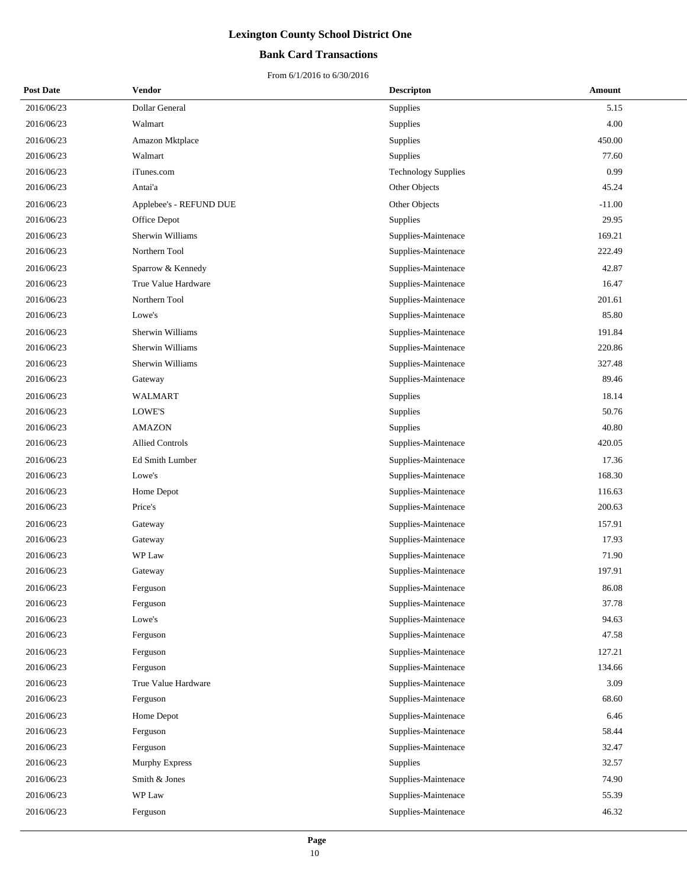### **Bank Card Transactions**

| <b>Post Date</b> | Vendor                  | <b>Descripton</b>          | Amount   |
|------------------|-------------------------|----------------------------|----------|
| 2016/06/23       | Dollar General          | Supplies                   | 5.15     |
| 2016/06/23       | Walmart                 | Supplies                   | 4.00     |
| 2016/06/23       | Amazon Mktplace         | Supplies                   | 450.00   |
| 2016/06/23       | Walmart                 | Supplies                   | 77.60    |
| 2016/06/23       | iTunes.com              | <b>Technology Supplies</b> | 0.99     |
| 2016/06/23       | Antai'a                 | Other Objects              | 45.24    |
| 2016/06/23       | Applebee's - REFUND DUE | Other Objects              | $-11.00$ |
| 2016/06/23       | Office Depot            | Supplies                   | 29.95    |
| 2016/06/23       | Sherwin Williams        | Supplies-Maintenace        | 169.21   |
| 2016/06/23       | Northern Tool           | Supplies-Maintenace        | 222.49   |
| 2016/06/23       | Sparrow & Kennedy       | Supplies-Maintenace        | 42.87    |
| 2016/06/23       | True Value Hardware     | Supplies-Maintenace        | 16.47    |
| 2016/06/23       | Northern Tool           | Supplies-Maintenace        | 201.61   |
| 2016/06/23       | Lowe's                  | Supplies-Maintenace        | 85.80    |
| 2016/06/23       | Sherwin Williams        | Supplies-Maintenace        | 191.84   |
| 2016/06/23       | Sherwin Williams        | Supplies-Maintenace        | 220.86   |
| 2016/06/23       | Sherwin Williams        | Supplies-Maintenace        | 327.48   |
| 2016/06/23       | Gateway                 | Supplies-Maintenace        | 89.46    |
| 2016/06/23       | WALMART                 | Supplies                   | 18.14    |
| 2016/06/23       | LOWE'S                  | Supplies                   | 50.76    |
| 2016/06/23       | <b>AMAZON</b>           | Supplies                   | 40.80    |
| 2016/06/23       | <b>Allied Controls</b>  | Supplies-Maintenace        | 420.05   |
| 2016/06/23       | Ed Smith Lumber         | Supplies-Maintenace        | 17.36    |
| 2016/06/23       | Lowe's                  | Supplies-Maintenace        | 168.30   |
| 2016/06/23       | Home Depot              | Supplies-Maintenace        | 116.63   |
| 2016/06/23       | Price's                 | Supplies-Maintenace        | 200.63   |
| 2016/06/23       | Gateway                 | Supplies-Maintenace        | 157.91   |
| 2016/06/23       | Gateway                 | Supplies-Maintenace        | 17.93    |
| 2016/06/23       | WP Law                  | Supplies-Maintenace        | 71.90    |
| 2016/06/23       | Gateway                 | Supplies-Maintenace        | 197.91   |
| 2016/06/23       | Ferguson                | Supplies-Maintenace        | 86.08    |
| 2016/06/23       | Ferguson                | Supplies-Maintenace        | 37.78    |
| 2016/06/23       | Lowe's                  | Supplies-Maintenace        | 94.63    |
| 2016/06/23       | Ferguson                | Supplies-Maintenace        | 47.58    |
| 2016/06/23       | Ferguson                | Supplies-Maintenace        | 127.21   |
| 2016/06/23       | Ferguson                | Supplies-Maintenace        | 134.66   |
| 2016/06/23       | True Value Hardware     | Supplies-Maintenace        | 3.09     |
| 2016/06/23       | Ferguson                | Supplies-Maintenace        | 68.60    |
| 2016/06/23       | Home Depot              | Supplies-Maintenace        | 6.46     |
| 2016/06/23       | Ferguson                | Supplies-Maintenace        | 58.44    |
| 2016/06/23       | Ferguson                | Supplies-Maintenace        | 32.47    |
| 2016/06/23       | Murphy Express          | Supplies                   | 32.57    |
| 2016/06/23       | Smith & Jones           | Supplies-Maintenace        | 74.90    |
| 2016/06/23       | WP Law                  | Supplies-Maintenace        | 55.39    |
| 2016/06/23       | Ferguson                | Supplies-Maintenace        | 46.32    |
|                  |                         |                            |          |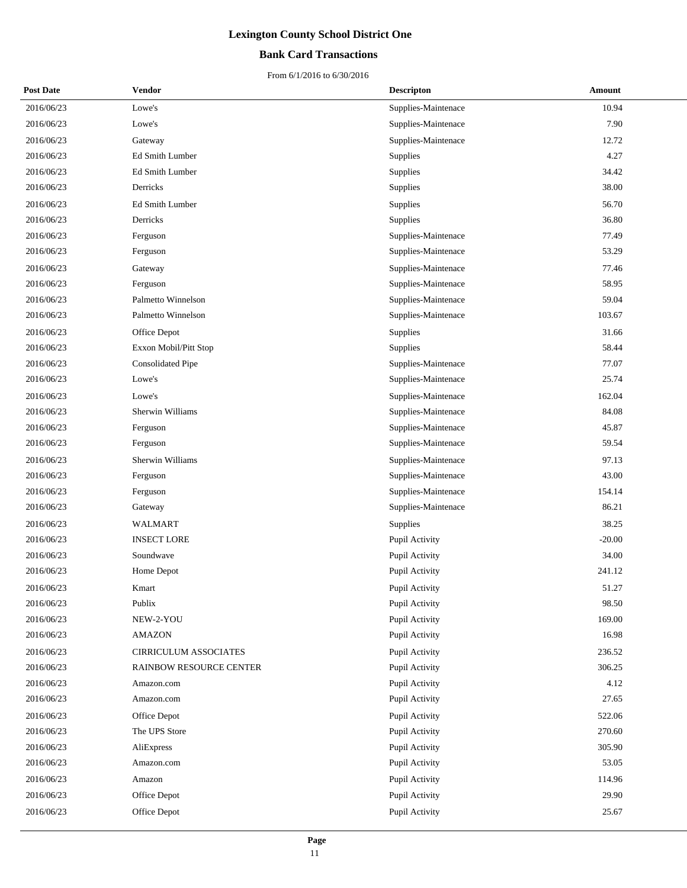### **Bank Card Transactions**

| <b>Post Date</b> | Vendor                       | <b>Descripton</b>     | Amount   |
|------------------|------------------------------|-----------------------|----------|
| 2016/06/23       | Lowe's                       | Supplies-Maintenace   | 10.94    |
| 2016/06/23       | Lowe's                       | Supplies-Maintenace   | 7.90     |
| 2016/06/23       | Gateway                      | Supplies-Maintenace   | 12.72    |
| 2016/06/23       | Ed Smith Lumber              | Supplies              | 4.27     |
| 2016/06/23       | Ed Smith Lumber              | Supplies              | 34.42    |
| 2016/06/23       | Derricks                     | Supplies              | 38.00    |
| 2016/06/23       | Ed Smith Lumber              | Supplies              | 56.70    |
| 2016/06/23       | Derricks                     | Supplies              | 36.80    |
| 2016/06/23       | Ferguson                     | Supplies-Maintenace   | 77.49    |
| 2016/06/23       | Ferguson                     | Supplies-Maintenace   | 53.29    |
| 2016/06/23       | Gateway                      | Supplies-Maintenace   | 77.46    |
| 2016/06/23       | Ferguson                     | Supplies-Maintenace   | 58.95    |
| 2016/06/23       | Palmetto Winnelson           | Supplies-Maintenace   | 59.04    |
| 2016/06/23       | Palmetto Winnelson           | Supplies-Maintenace   | 103.67   |
| 2016/06/23       | Office Depot                 | Supplies              | 31.66    |
| 2016/06/23       | Exxon Mobil/Pitt Stop        | Supplies              | 58.44    |
| 2016/06/23       | <b>Consolidated Pipe</b>     | Supplies-Maintenace   | 77.07    |
| 2016/06/23       | Lowe's                       | Supplies-Maintenace   | 25.74    |
| 2016/06/23       | Lowe's                       | Supplies-Maintenace   | 162.04   |
| 2016/06/23       | Sherwin Williams             | Supplies-Maintenace   | 84.08    |
| 2016/06/23       | Ferguson                     | Supplies-Maintenace   | 45.87    |
| 2016/06/23       | Ferguson                     | Supplies-Maintenace   | 59.54    |
| 2016/06/23       | Sherwin Williams             | Supplies-Maintenace   | 97.13    |
| 2016/06/23       | Ferguson                     | Supplies-Maintenace   | 43.00    |
| 2016/06/23       | Ferguson                     | Supplies-Maintenace   | 154.14   |
| 2016/06/23       | Gateway                      | Supplies-Maintenace   | 86.21    |
| 2016/06/23       | <b>WALMART</b>               | Supplies              | 38.25    |
| 2016/06/23       | <b>INSECT LORE</b>           | Pupil Activity        | $-20.00$ |
| 2016/06/23       | Soundwave                    | Pupil Activity        | 34.00    |
| 2016/06/23       | Home Depot                   | Pupil Activity        | 241.12   |
| 2016/06/23       | Kmart                        | <b>Pupil Activity</b> | 51.27    |
| 2016/06/23       | Publix                       | Pupil Activity        | 98.50    |
| 2016/06/23       | NEW-2-YOU                    | Pupil Activity        | 169.00   |
| 2016/06/23       | <b>AMAZON</b>                | Pupil Activity        | 16.98    |
| 2016/06/23       | <b>CIRRICULUM ASSOCIATES</b> | Pupil Activity        | 236.52   |
| 2016/06/23       | RAINBOW RESOURCE CENTER      | Pupil Activity        | 306.25   |
| 2016/06/23       | Amazon.com                   | Pupil Activity        | 4.12     |
| 2016/06/23       | Amazon.com                   | Pupil Activity        | 27.65    |
| 2016/06/23       | Office Depot                 | Pupil Activity        | 522.06   |
| 2016/06/23       | The UPS Store                | Pupil Activity        | 270.60   |
| 2016/06/23       | AliExpress                   | Pupil Activity        | 305.90   |
| 2016/06/23       | Amazon.com                   | Pupil Activity        | 53.05    |
| 2016/06/23       | Amazon                       | Pupil Activity        | 114.96   |
| 2016/06/23       | Office Depot                 | Pupil Activity        | 29.90    |
| 2016/06/23       | Office Depot                 | Pupil Activity        | 25.67    |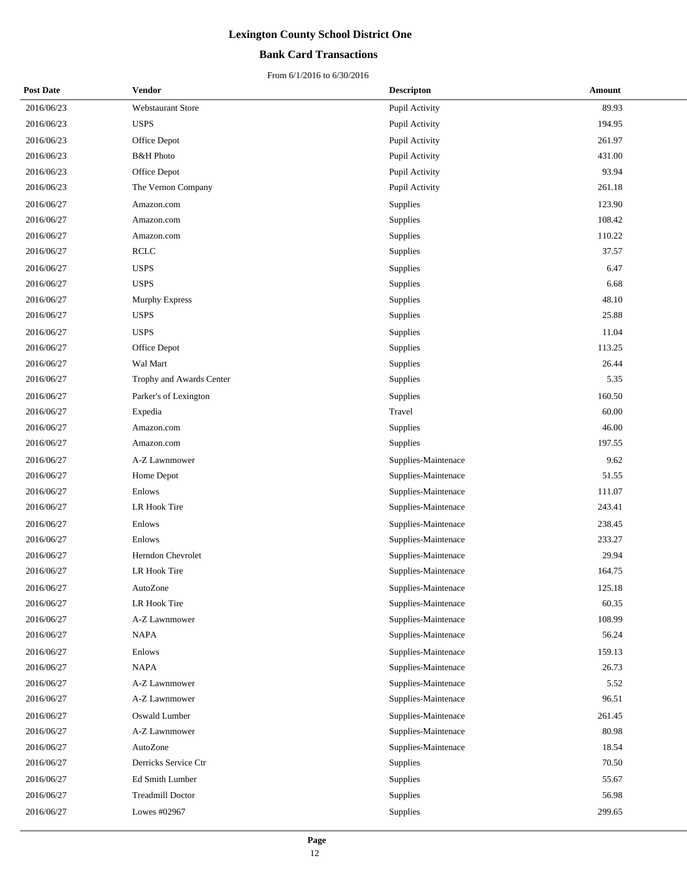### **Bank Card Transactions**

| <b>Post Date</b> | <b>Vendor</b>            | <b>Descripton</b>   | Amount |
|------------------|--------------------------|---------------------|--------|
| 2016/06/23       | Webstaurant Store        | Pupil Activity      | 89.93  |
| 2016/06/23       | <b>USPS</b>              | Pupil Activity      | 194.95 |
| 2016/06/23       | Office Depot             | Pupil Activity      | 261.97 |
| 2016/06/23       | <b>B&amp;H</b> Photo     | Pupil Activity      | 431.00 |
| 2016/06/23       | Office Depot             | Pupil Activity      | 93.94  |
| 2016/06/23       | The Vernon Company       | Pupil Activity      | 261.18 |
| 2016/06/27       | Amazon.com               | Supplies            | 123.90 |
| 2016/06/27       | Amazon.com               | <b>Supplies</b>     | 108.42 |
| 2016/06/27       | Amazon.com               | Supplies            | 110.22 |
| 2016/06/27       | <b>RCLC</b>              | Supplies            | 37.57  |
| 2016/06/27       | <b>USPS</b>              | Supplies            | 6.47   |
| 2016/06/27       | <b>USPS</b>              | <b>Supplies</b>     | 6.68   |
| 2016/06/27       | Murphy Express           | <b>Supplies</b>     | 48.10  |
| 2016/06/27       | <b>USPS</b>              | Supplies            | 25.88  |
| 2016/06/27       | <b>USPS</b>              | Supplies            | 11.04  |
| 2016/06/27       | Office Depot             | <b>Supplies</b>     | 113.25 |
| 2016/06/27       | Wal Mart                 | <b>Supplies</b>     | 26.44  |
| 2016/06/27       | Trophy and Awards Center | Supplies            | 5.35   |
| 2016/06/27       | Parker's of Lexington    | Supplies            | 160.50 |
| 2016/06/27       | Expedia                  | Travel              | 60.00  |
| 2016/06/27       | Amazon.com               | Supplies            | 46.00  |
| 2016/06/27       | Amazon.com               | Supplies            | 197.55 |
| 2016/06/27       | A-Z Lawnmower            | Supplies-Maintenace | 9.62   |
| 2016/06/27       | Home Depot               | Supplies-Maintenace | 51.55  |
| 2016/06/27       | Enlows                   | Supplies-Maintenace | 111.07 |
| 2016/06/27       | LR Hook Tire             | Supplies-Maintenace | 243.41 |
| 2016/06/27       | Enlows                   | Supplies-Maintenace | 238.45 |
| 2016/06/27       | Enlows                   | Supplies-Maintenace | 233.27 |
| 2016/06/27       | Herndon Chevrolet        | Supplies-Maintenace | 29.94  |
| 2016/06/27       | LR Hook Tire             | Supplies-Maintenace | 164.75 |
| 2016/06/27       | AutoZone                 | Supplies-Maintenace | 125.18 |
| 2016/06/27       | LR Hook Tire             | Supplies-Maintenace | 60.35  |
| 2016/06/27       | A-Z Lawnmower            | Supplies-Maintenace | 108.99 |
| 2016/06/27       | <b>NAPA</b>              | Supplies-Maintenace | 56.24  |
| 2016/06/27       | Enlows                   | Supplies-Maintenace | 159.13 |
| 2016/06/27       | <b>NAPA</b>              | Supplies-Maintenace | 26.73  |
| 2016/06/27       | A-Z Lawnmower            | Supplies-Maintenace | 5.52   |
| 2016/06/27       | A-Z Lawnmower            | Supplies-Maintenace | 96.51  |
| 2016/06/27       | Oswald Lumber            | Supplies-Maintenace | 261.45 |
| 2016/06/27       | A-Z Lawnmower            | Supplies-Maintenace | 80.98  |
| 2016/06/27       | AutoZone                 | Supplies-Maintenace | 18.54  |
| 2016/06/27       | Derricks Service Ctr     | Supplies            | 70.50  |
| 2016/06/27       | Ed Smith Lumber          | Supplies            | 55.67  |
| 2016/06/27       | <b>Treadmill Doctor</b>  | Supplies            | 56.98  |
| 2016/06/27       | Lowes #02967             | Supplies            | 299.65 |
|                  |                          |                     |        |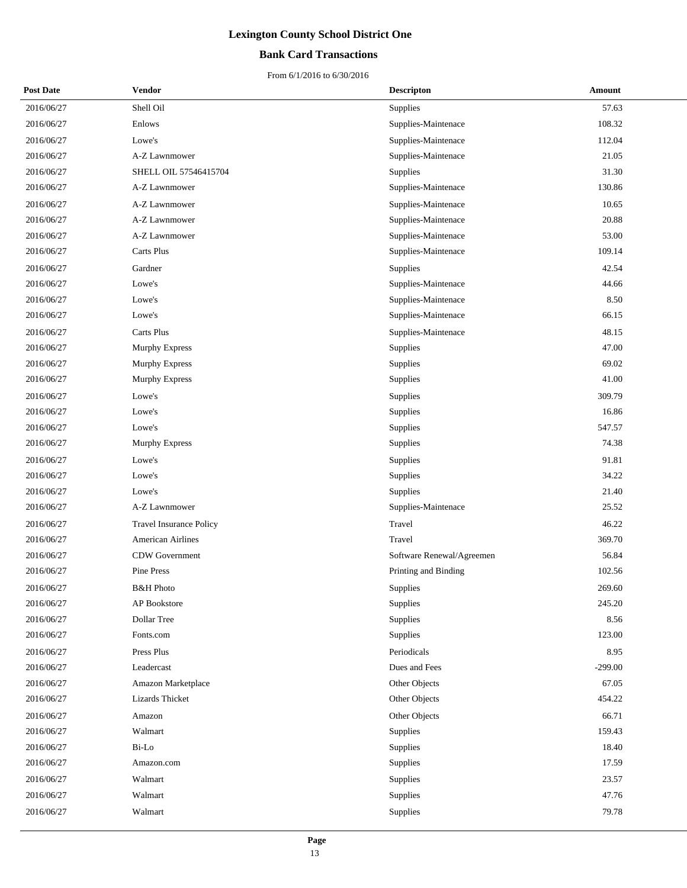### **Bank Card Transactions**

| <b>Post Date</b> | Vendor                         | <b>Descripton</b>         | Amount    |
|------------------|--------------------------------|---------------------------|-----------|
| 2016/06/27       | Shell Oil                      | Supplies                  | 57.63     |
| 2016/06/27       | Enlows                         | Supplies-Maintenace       | 108.32    |
| 2016/06/27       | Lowe's                         | Supplies-Maintenace       | 112.04    |
| 2016/06/27       | A-Z Lawnmower                  | Supplies-Maintenace       | 21.05     |
| 2016/06/27       | SHELL OIL 57546415704          | Supplies                  | 31.30     |
| 2016/06/27       | A-Z Lawnmower                  | Supplies-Maintenace       | 130.86    |
| 2016/06/27       | A-Z Lawnmower                  | Supplies-Maintenace       | 10.65     |
| 2016/06/27       | A-Z Lawnmower                  | Supplies-Maintenace       | 20.88     |
| 2016/06/27       | A-Z Lawnmower                  | Supplies-Maintenace       | 53.00     |
| 2016/06/27       | Carts Plus                     | Supplies-Maintenace       | 109.14    |
| 2016/06/27       | Gardner                        | Supplies                  | 42.54     |
| 2016/06/27       | Lowe's                         | Supplies-Maintenace       | 44.66     |
| 2016/06/27       | Lowe's                         | Supplies-Maintenace       | 8.50      |
| 2016/06/27       | Lowe's                         | Supplies-Maintenace       | 66.15     |
| 2016/06/27       | Carts Plus                     | Supplies-Maintenace       | 48.15     |
| 2016/06/27       | Murphy Express                 | Supplies                  | 47.00     |
| 2016/06/27       | Murphy Express                 | Supplies                  | 69.02     |
| 2016/06/27       | <b>Murphy Express</b>          | Supplies                  | 41.00     |
| 2016/06/27       | Lowe's                         | Supplies                  | 309.79    |
| 2016/06/27       | Lowe's                         | Supplies                  | 16.86     |
| 2016/06/27       | Lowe's                         | Supplies                  | 547.57    |
| 2016/06/27       | <b>Murphy Express</b>          | Supplies                  | 74.38     |
| 2016/06/27       | Lowe's                         | Supplies                  | 91.81     |
| 2016/06/27       | Lowe's                         | Supplies                  | 34.22     |
| 2016/06/27       | Lowe's                         | Supplies                  | 21.40     |
| 2016/06/27       | A-Z Lawnmower                  | Supplies-Maintenace       | 25.52     |
| 2016/06/27       | <b>Travel Insurance Policy</b> | Travel                    | 46.22     |
| 2016/06/27       | <b>American Airlines</b>       | Travel                    | 369.70    |
| 2016/06/27       | CDW Government                 | Software Renewal/Agreemen | 56.84     |
| 2016/06/27       | Pine Press                     | Printing and Binding      | 102.56    |
| 2016/06/27       | <b>B&amp;H</b> Photo           | Supplies                  | 269.60    |
| 2016/06/27       | AP Bookstore                   | Supplies                  | 245.20    |
| 2016/06/27       | Dollar Tree                    | Supplies                  | 8.56      |
| 2016/06/27       | Fonts.com                      | Supplies                  | 123.00    |
| 2016/06/27       | Press Plus                     | Periodicals               | 8.95      |
| 2016/06/27       | Leadercast                     | Dues and Fees             | $-299.00$ |
| 2016/06/27       | Amazon Marketplace             | Other Objects             | 67.05     |
| 2016/06/27       | Lizards Thicket                | Other Objects             | 454.22    |
| 2016/06/27       | Amazon                         | Other Objects             | 66.71     |
| 2016/06/27       | Walmart                        | Supplies                  | 159.43    |
| 2016/06/27       | Bi-Lo                          | Supplies                  | 18.40     |
| 2016/06/27       | Amazon.com                     | Supplies                  | 17.59     |
| 2016/06/27       | Walmart                        | Supplies                  | 23.57     |
| 2016/06/27       | Walmart                        | Supplies                  | 47.76     |
| 2016/06/27       | Walmart                        | Supplies                  | 79.78     |
|                  |                                |                           |           |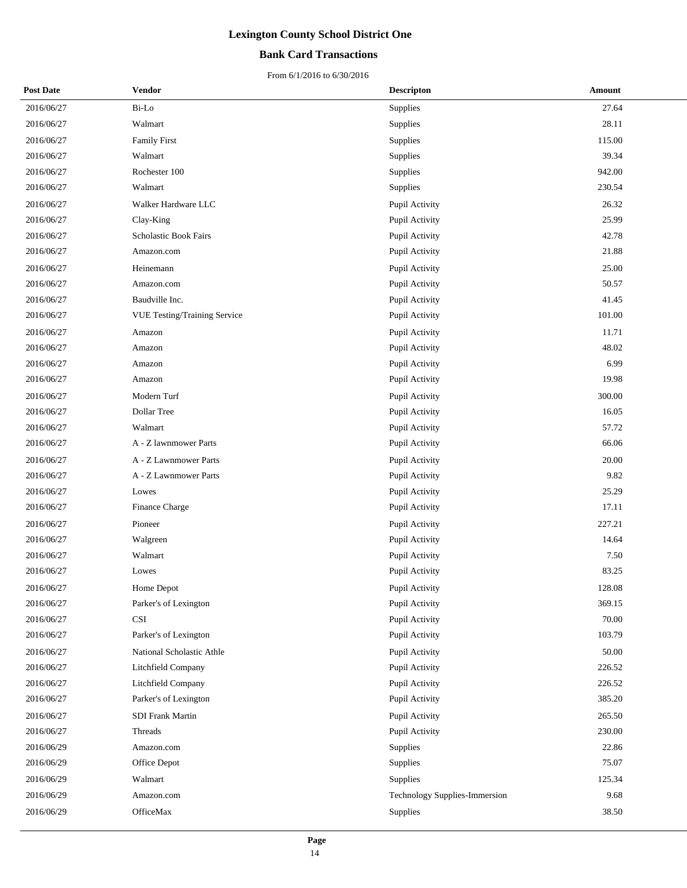### **Bank Card Transactions**

| <b>Post Date</b> | Vendor                       | <b>Descripton</b>             | Amount |
|------------------|------------------------------|-------------------------------|--------|
| 2016/06/27       | Bi-Lo                        | Supplies                      | 27.64  |
| 2016/06/27       | Walmart                      | Supplies                      | 28.11  |
| 2016/06/27       | <b>Family First</b>          | Supplies                      | 115.00 |
| 2016/06/27       | Walmart                      | Supplies                      | 39.34  |
| 2016/06/27       | Rochester 100                | Supplies                      | 942.00 |
| 2016/06/27       | Walmart                      | Supplies                      | 230.54 |
| 2016/06/27       | Walker Hardware LLC          | Pupil Activity                | 26.32  |
| 2016/06/27       | Clay-King                    | Pupil Activity                | 25.99  |
| 2016/06/27       | Scholastic Book Fairs        | Pupil Activity                | 42.78  |
| 2016/06/27       | Amazon.com                   | Pupil Activity                | 21.88  |
| 2016/06/27       | Heinemann                    | Pupil Activity                | 25.00  |
| 2016/06/27       | Amazon.com                   | Pupil Activity                | 50.57  |
| 2016/06/27       | Baudville Inc.               | Pupil Activity                | 41.45  |
| 2016/06/27       | VUE Testing/Training Service | Pupil Activity                | 101.00 |
| 2016/06/27       | Amazon                       | Pupil Activity                | 11.71  |
| 2016/06/27       | Amazon                       | Pupil Activity                | 48.02  |
| 2016/06/27       | Amazon                       | Pupil Activity                | 6.99   |
| 2016/06/27       | Amazon                       | Pupil Activity                | 19.98  |
| 2016/06/27       | Modern Turf                  | Pupil Activity                | 300.00 |
| 2016/06/27       | Dollar Tree                  | Pupil Activity                | 16.05  |
| 2016/06/27       | Walmart                      | Pupil Activity                | 57.72  |
| 2016/06/27       | A - Z lawnmower Parts        | Pupil Activity                | 66.06  |
| 2016/06/27       | A - Z Lawnmower Parts        | Pupil Activity                | 20.00  |
| 2016/06/27       | A - Z Lawnmower Parts        | Pupil Activity                | 9.82   |
| 2016/06/27       | Lowes                        | Pupil Activity                | 25.29  |
| 2016/06/27       | Finance Charge               | Pupil Activity                | 17.11  |
| 2016/06/27       | Pioneer                      | Pupil Activity                | 227.21 |
| 2016/06/27       | Walgreen                     | Pupil Activity                | 14.64  |
| 2016/06/27       | Walmart                      | Pupil Activity                | 7.50   |
| 2016/06/27       | Lowes                        | Pupil Activity                | 83.25  |
| 2016/06/27       | Home Depot                   | <b>Pupil Activity</b>         | 128.08 |
| 2016/06/27       | Parker's of Lexington        | Pupil Activity                | 369.15 |
| 2016/06/27       | <b>CSI</b>                   | Pupil Activity                | 70.00  |
| 2016/06/27       | Parker's of Lexington        | Pupil Activity                | 103.79 |
| 2016/06/27       | National Scholastic Athle    | Pupil Activity                | 50.00  |
| 2016/06/27       | Litchfield Company           | Pupil Activity                | 226.52 |
| 2016/06/27       | Litchfield Company           | Pupil Activity                | 226.52 |
| 2016/06/27       | Parker's of Lexington        | Pupil Activity                | 385.20 |
| 2016/06/27       | SDI Frank Martin             | Pupil Activity                | 265.50 |
| 2016/06/27       | Threads                      | Pupil Activity                | 230.00 |
| 2016/06/29       | Amazon.com                   | Supplies                      | 22.86  |
| 2016/06/29       | Office Depot                 | Supplies                      | 75.07  |
| 2016/06/29       | Walmart                      | Supplies                      | 125.34 |
| 2016/06/29       | Amazon.com                   | Technology Supplies-Immersion | 9.68   |
| 2016/06/29       | OfficeMax                    | Supplies                      | 38.50  |
|                  |                              |                               |        |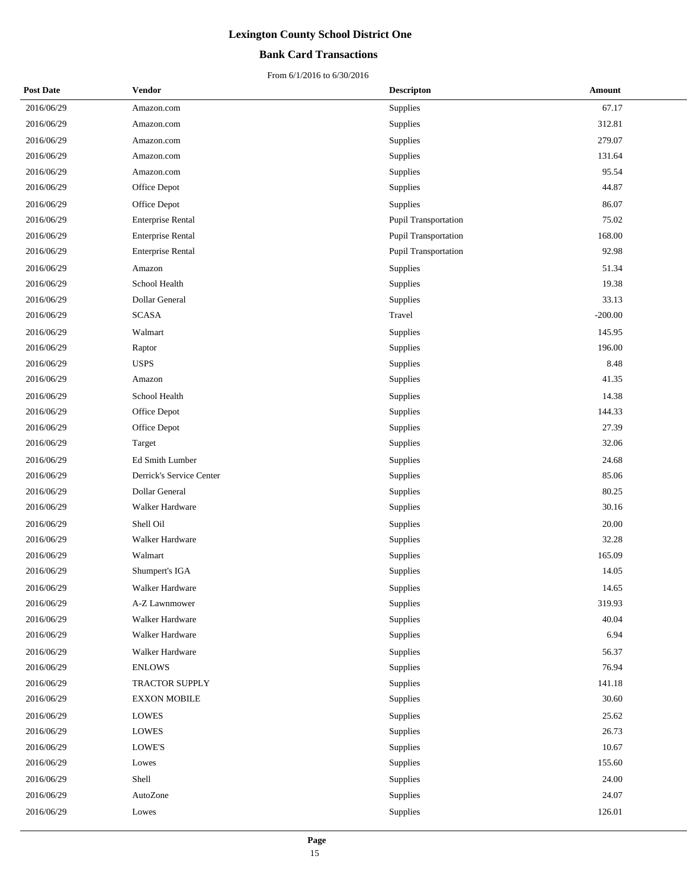### **Bank Card Transactions**

| <b>Post Date</b> | <b>Vendor</b>            | <b>Descripton</b>    | Amount    |
|------------------|--------------------------|----------------------|-----------|
| 2016/06/29       | Amazon.com               | <b>Supplies</b>      | 67.17     |
| 2016/06/29       | Amazon.com               | Supplies             | 312.81    |
| 2016/06/29       | Amazon.com               | Supplies             | 279.07    |
| 2016/06/29       | Amazon.com               | Supplies             | 131.64    |
| 2016/06/29       | Amazon.com               | Supplies             | 95.54     |
| 2016/06/29       | Office Depot             | Supplies             | 44.87     |
| 2016/06/29       | Office Depot             | Supplies             | 86.07     |
| 2016/06/29       | <b>Enterprise Rental</b> | Pupil Transportation | 75.02     |
| 2016/06/29       | <b>Enterprise Rental</b> | Pupil Transportation | 168.00    |
| 2016/06/29       | <b>Enterprise Rental</b> | Pupil Transportation | 92.98     |
| 2016/06/29       | Amazon                   | Supplies             | 51.34     |
| 2016/06/29       | School Health            | Supplies             | 19.38     |
| 2016/06/29       | Dollar General           | Supplies             | 33.13     |
| 2016/06/29       | <b>SCASA</b>             | Travel               | $-200.00$ |
| 2016/06/29       | Walmart                  | <b>Supplies</b>      | 145.95    |
| 2016/06/29       | Raptor                   | Supplies             | 196.00    |
| 2016/06/29       | <b>USPS</b>              | Supplies             | 8.48      |
| 2016/06/29       | Amazon                   | Supplies             | 41.35     |
| 2016/06/29       | School Health            | Supplies             | 14.38     |
| 2016/06/29       | Office Depot             | Supplies             | 144.33    |
| 2016/06/29       | Office Depot             | Supplies             | 27.39     |
| 2016/06/29       | Target                   | Supplies             | 32.06     |
| 2016/06/29       | Ed Smith Lumber          | Supplies             | 24.68     |
| 2016/06/29       | Derrick's Service Center | Supplies             | 85.06     |
| 2016/06/29       | Dollar General           | Supplies             | 80.25     |
| 2016/06/29       | Walker Hardware          | Supplies             | 30.16     |
| 2016/06/29       | Shell Oil                | Supplies             | 20.00     |
| 2016/06/29       | Walker Hardware          | Supplies             | 32.28     |
| 2016/06/29       | Walmart                  | Supplies             | 165.09    |
| 2016/06/29       | Shumpert's IGA           | Supplies             | 14.05     |
| 2016/06/29       | Walker Hardware          | Supplies             | 14.65     |
| 2016/06/29       | A-Z Lawnmower            | <b>Supplies</b>      | 319.93    |
| 2016/06/29       | Walker Hardware          | <b>Supplies</b>      | 40.04     |
| 2016/06/29       | Walker Hardware          | Supplies             | 6.94      |
| 2016/06/29       | Walker Hardware          | Supplies             | 56.37     |
| 2016/06/29       | <b>ENLOWS</b>            | Supplies             | 76.94     |
| 2016/06/29       | TRACTOR SUPPLY           | Supplies             | 141.18    |
| 2016/06/29       | <b>EXXON MOBILE</b>      | Supplies             | 30.60     |
| 2016/06/29       | LOWES                    | Supplies             | 25.62     |
| 2016/06/29       | <b>LOWES</b>             | Supplies             | 26.73     |
| 2016/06/29       | LOWE'S                   | Supplies             | 10.67     |
| 2016/06/29       | Lowes                    | Supplies             | 155.60    |
| 2016/06/29       | Shell                    | Supplies             | 24.00     |
| 2016/06/29       | AutoZone                 | Supplies             | 24.07     |
| 2016/06/29       | Lowes                    | Supplies             | 126.01    |
|                  |                          |                      |           |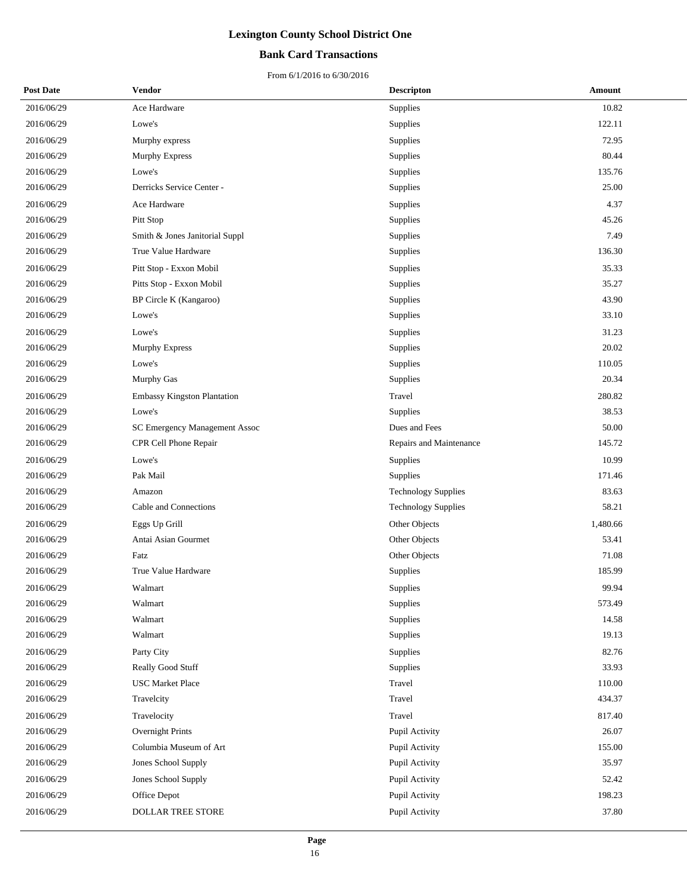### **Bank Card Transactions**

| <b>Post Date</b> | Vendor                             | <b>Descripton</b>          | Amount   |
|------------------|------------------------------------|----------------------------|----------|
| 2016/06/29       | Ace Hardware                       | Supplies                   | 10.82    |
| 2016/06/29       | Lowe's                             | Supplies                   | 122.11   |
| 2016/06/29       | Murphy express                     | Supplies                   | 72.95    |
| 2016/06/29       | <b>Murphy Express</b>              | Supplies                   | 80.44    |
| 2016/06/29       | Lowe's                             | Supplies                   | 135.76   |
| 2016/06/29       | Derricks Service Center -          | Supplies                   | 25.00    |
| 2016/06/29       | Ace Hardware                       | Supplies                   | 4.37     |
| 2016/06/29       | Pitt Stop                          | Supplies                   | 45.26    |
| 2016/06/29       | Smith & Jones Janitorial Suppl     | Supplies                   | 7.49     |
| 2016/06/29       | True Value Hardware                | Supplies                   | 136.30   |
| 2016/06/29       | Pitt Stop - Exxon Mobil            | Supplies                   | 35.33    |
| 2016/06/29       | Pitts Stop - Exxon Mobil           | Supplies                   | 35.27    |
| 2016/06/29       | BP Circle K (Kangaroo)             | Supplies                   | 43.90    |
| 2016/06/29       | Lowe's                             | Supplies                   | 33.10    |
| 2016/06/29       | Lowe's                             | Supplies                   | 31.23    |
| 2016/06/29       | Murphy Express                     | Supplies                   | 20.02    |
| 2016/06/29       | Lowe's                             | Supplies                   | 110.05   |
| 2016/06/29       | Murphy Gas                         | Supplies                   | 20.34    |
| 2016/06/29       | <b>Embassy Kingston Plantation</b> | Travel                     | 280.82   |
| 2016/06/29       | Lowe's                             | Supplies                   | 38.53    |
| 2016/06/29       | SC Emergency Management Assoc      | Dues and Fees              | 50.00    |
| 2016/06/29       | CPR Cell Phone Repair              | Repairs and Maintenance    | 145.72   |
| 2016/06/29       | Lowe's                             | Supplies                   | 10.99    |
| 2016/06/29       | Pak Mail                           | Supplies                   | 171.46   |
| 2016/06/29       | Amazon                             | <b>Technology Supplies</b> | 83.63    |
| 2016/06/29       | Cable and Connections              | <b>Technology Supplies</b> | 58.21    |
| 2016/06/29       | Eggs Up Grill                      | Other Objects              | 1,480.66 |
| 2016/06/29       | Antai Asian Gourmet                | Other Objects              | 53.41    |
| 2016/06/29       | Fatz                               | Other Objects              | 71.08    |
| 2016/06/29       | True Value Hardware                | Supplies                   | 185.99   |
| 2016/06/29       | Walmart                            | Supplies                   | 99.94    |
| 2016/06/29       | Walmart                            | Supplies                   | 573.49   |
| 2016/06/29       | Walmart                            | Supplies                   | 14.58    |
| 2016/06/29       | Walmart                            | Supplies                   | 19.13    |
| 2016/06/29       | Party City                         | Supplies                   | 82.76    |
| 2016/06/29       | Really Good Stuff                  | Supplies                   | 33.93    |
| 2016/06/29       | <b>USC Market Place</b>            | Travel                     | 110.00   |
| 2016/06/29       | Travelcity                         | Travel                     | 434.37   |
| 2016/06/29       | Travelocity                        | Travel                     | 817.40   |
| 2016/06/29       | Overnight Prints                   | Pupil Activity             | 26.07    |
| 2016/06/29       | Columbia Museum of Art             | Pupil Activity             | 155.00   |
| 2016/06/29       | Jones School Supply                | Pupil Activity             | 35.97    |
| 2016/06/29       | Jones School Supply                | Pupil Activity             | 52.42    |
| 2016/06/29       | Office Depot                       | Pupil Activity             | 198.23   |
| 2016/06/29       | DOLLAR TREE STORE                  | Pupil Activity             | 37.80    |
|                  |                                    |                            |          |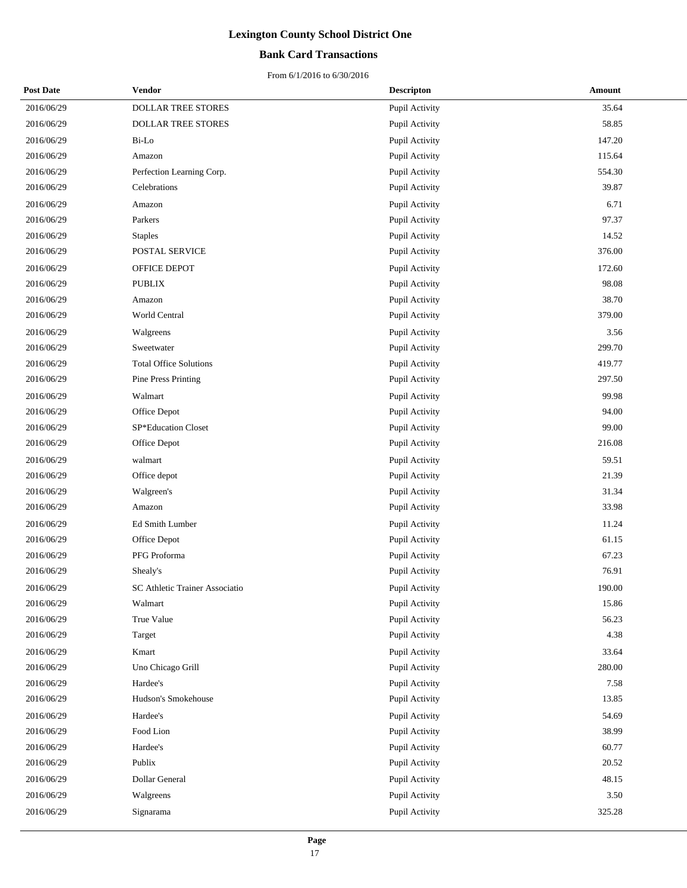### **Bank Card Transactions**

| <b>Post Date</b> | <b>Vendor</b>                  | <b>Descripton</b> | Amount |
|------------------|--------------------------------|-------------------|--------|
| 2016/06/29       | DOLLAR TREE STORES             | Pupil Activity    | 35.64  |
| 2016/06/29       | DOLLAR TREE STORES             | Pupil Activity    | 58.85  |
| 2016/06/29       | Bi-Lo                          | Pupil Activity    | 147.20 |
| 2016/06/29       | Amazon                         | Pupil Activity    | 115.64 |
| 2016/06/29       | Perfection Learning Corp.      | Pupil Activity    | 554.30 |
| 2016/06/29       | Celebrations                   | Pupil Activity    | 39.87  |
| 2016/06/29       | Amazon                         | Pupil Activity    | 6.71   |
| 2016/06/29       | Parkers                        | Pupil Activity    | 97.37  |
| 2016/06/29       | <b>Staples</b>                 | Pupil Activity    | 14.52  |
| 2016/06/29       | POSTAL SERVICE                 | Pupil Activity    | 376.00 |
| 2016/06/29       | OFFICE DEPOT                   | Pupil Activity    | 172.60 |
| 2016/06/29       | <b>PUBLIX</b>                  | Pupil Activity    | 98.08  |
| 2016/06/29       | Amazon                         | Pupil Activity    | 38.70  |
| 2016/06/29       | World Central                  | Pupil Activity    | 379.00 |
| 2016/06/29       | Walgreens                      | Pupil Activity    | 3.56   |
| 2016/06/29       | Sweetwater                     | Pupil Activity    | 299.70 |
| 2016/06/29       | <b>Total Office Solutions</b>  | Pupil Activity    | 419.77 |
| 2016/06/29       | Pine Press Printing            | Pupil Activity    | 297.50 |
| 2016/06/29       | Walmart                        | Pupil Activity    | 99.98  |
| 2016/06/29       | Office Depot                   | Pupil Activity    | 94.00  |
| 2016/06/29       | SP*Education Closet            | Pupil Activity    | 99.00  |
| 2016/06/29       | Office Depot                   | Pupil Activity    | 216.08 |
| 2016/06/29       | walmart                        | Pupil Activity    | 59.51  |
| 2016/06/29       | Office depot                   | Pupil Activity    | 21.39  |
| 2016/06/29       | Walgreen's                     | Pupil Activity    | 31.34  |
| 2016/06/29       | Amazon                         | Pupil Activity    | 33.98  |
| 2016/06/29       | Ed Smith Lumber                | Pupil Activity    | 11.24  |
| 2016/06/29       | Office Depot                   | Pupil Activity    | 61.15  |
| 2016/06/29       | PFG Proforma                   | Pupil Activity    | 67.23  |
| 2016/06/29       | Shealy's                       | Pupil Activity    | 76.91  |
| 2016/06/29       | SC Athletic Trainer Associatio | Pupil Activity    | 190.00 |
| 2016/06/29       | Walmart                        | Pupil Activity    | 15.86  |
| 2016/06/29       | True Value                     | Pupil Activity    | 56.23  |
| 2016/06/29       | Target                         | Pupil Activity    | 4.38   |
| 2016/06/29       | Kmart                          | Pupil Activity    | 33.64  |
| 2016/06/29       | Uno Chicago Grill              | Pupil Activity    | 280.00 |
| 2016/06/29       | Hardee's                       | Pupil Activity    | 7.58   |
| 2016/06/29       | Hudson's Smokehouse            | Pupil Activity    | 13.85  |
| 2016/06/29       | Hardee's                       | Pupil Activity    | 54.69  |
| 2016/06/29       | Food Lion                      | Pupil Activity    | 38.99  |
| 2016/06/29       | Hardee's                       | Pupil Activity    | 60.77  |
| 2016/06/29       | Publix                         | Pupil Activity    | 20.52  |
| 2016/06/29       | Dollar General                 | Pupil Activity    | 48.15  |
| 2016/06/29       | Walgreens                      | Pupil Activity    | 3.50   |
| 2016/06/29       | Signarama                      | Pupil Activity    | 325.28 |
|                  |                                |                   |        |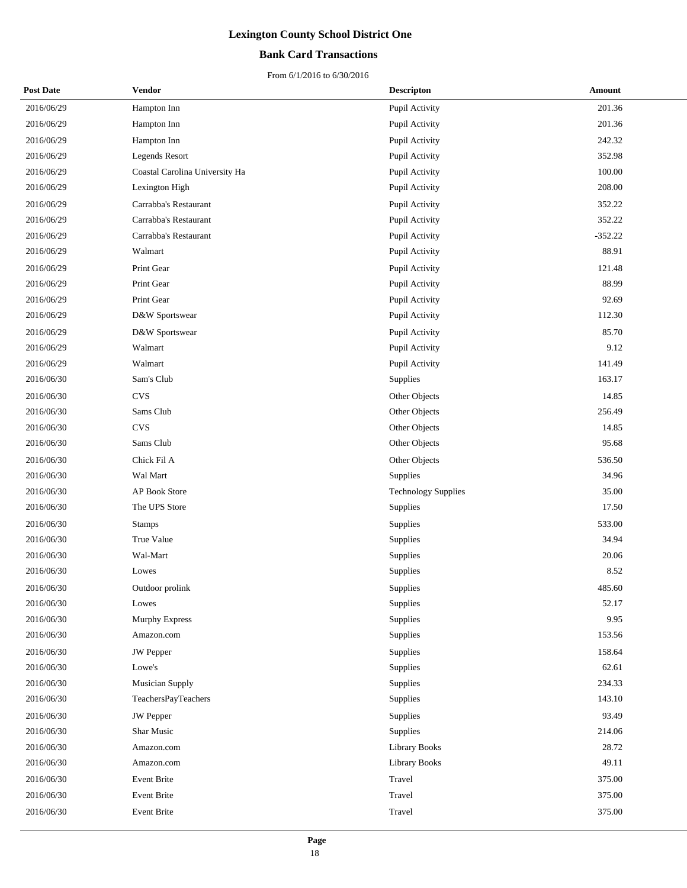### **Bank Card Transactions**

| <b>Post Date</b> | Vendor                         | <b>Descripton</b>          | <b>Amount</b> |
|------------------|--------------------------------|----------------------------|---------------|
| 2016/06/29       | Hampton Inn                    | Pupil Activity             | 201.36        |
| 2016/06/29       | Hampton Inn                    | Pupil Activity             | 201.36        |
| 2016/06/29       | Hampton Inn                    | Pupil Activity             | 242.32        |
| 2016/06/29       | <b>Legends Resort</b>          | Pupil Activity             | 352.98        |
| 2016/06/29       | Coastal Carolina University Ha | Pupil Activity             | 100.00        |
| 2016/06/29       | Lexington High                 | Pupil Activity             | 208.00        |
| 2016/06/29       | Carrabba's Restaurant          | Pupil Activity             | 352.22        |
| 2016/06/29       | Carrabba's Restaurant          | Pupil Activity             | 352.22        |
| 2016/06/29       | Carrabba's Restaurant          | Pupil Activity             | $-352.22$     |
| 2016/06/29       | Walmart                        | Pupil Activity             | 88.91         |
| 2016/06/29       | Print Gear                     | Pupil Activity             | 121.48        |
| 2016/06/29       | Print Gear                     | Pupil Activity             | 88.99         |
| 2016/06/29       | Print Gear                     | Pupil Activity             | 92.69         |
| 2016/06/29       | D&W Sportswear                 | Pupil Activity             | 112.30        |
| 2016/06/29       | D&W Sportswear                 | Pupil Activity             | 85.70         |
| 2016/06/29       | Walmart                        | Pupil Activity             | 9.12          |
| 2016/06/29       | Walmart                        | Pupil Activity             | 141.49        |
| 2016/06/30       | Sam's Club                     | Supplies                   | 163.17        |
| 2016/06/30       | <b>CVS</b>                     | Other Objects              | 14.85         |
| 2016/06/30       | Sams Club                      | Other Objects              | 256.49        |
| 2016/06/30       | <b>CVS</b>                     | Other Objects              | 14.85         |
| 2016/06/30       | Sams Club                      | Other Objects              | 95.68         |
| 2016/06/30       | Chick Fil A                    | Other Objects              | 536.50        |
| 2016/06/30       | Wal Mart                       | Supplies                   | 34.96         |
| 2016/06/30       | AP Book Store                  | <b>Technology Supplies</b> | 35.00         |
| 2016/06/30       | The UPS Store                  | Supplies                   | 17.50         |
| 2016/06/30       | <b>Stamps</b>                  | Supplies                   | 533.00        |
| 2016/06/30       | True Value                     | Supplies                   | 34.94         |
| 2016/06/30       | Wal-Mart                       | Supplies                   | 20.06         |
| 2016/06/30       | Lowes                          | Supplies                   | 8.52          |
| 2016/06/30       | Outdoor prolink                | Supplies                   | 485.60        |
| 2016/06/30       | Lowes                          | Supplies                   | 52.17         |
| 2016/06/30       | Murphy Express                 | Supplies                   | 9.95          |
| 2016/06/30       | Amazon.com                     | Supplies                   | 153.56        |
| 2016/06/30       | <b>JW</b> Pepper               | Supplies                   | 158.64        |
| 2016/06/30       | Lowe's                         | Supplies                   | 62.61         |
| 2016/06/30       | <b>Musician Supply</b>         | Supplies                   | 234.33        |
| 2016/06/30       | TeachersPayTeachers            | Supplies                   | 143.10        |
| 2016/06/30       | JW Pepper                      | Supplies                   | 93.49         |
| 2016/06/30       | Shar Music                     | Supplies                   | 214.06        |
| 2016/06/30       | Amazon.com                     | Library Books              | 28.72         |
| 2016/06/30       | Amazon.com                     | <b>Library Books</b>       | 49.11         |
| 2016/06/30       | Event Brite                    | Travel                     | 375.00        |
| 2016/06/30       | Event Brite                    | Travel                     | 375.00        |
| 2016/06/30       | Event Brite                    | Travel                     | 375.00        |
|                  |                                |                            |               |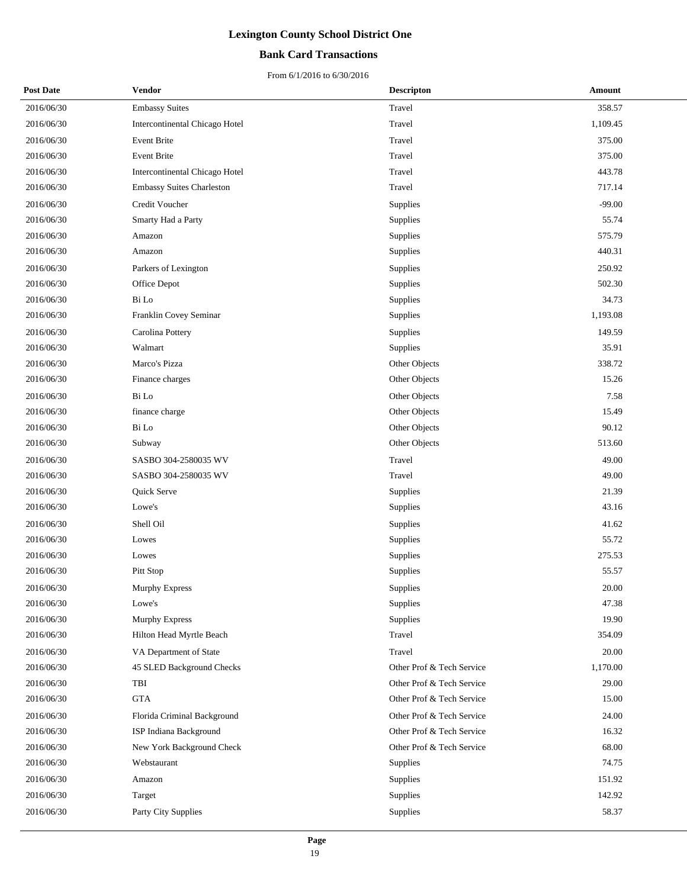### **Bank Card Transactions**

| <b>Post Date</b> | <b>Vendor</b>                         | <b>Descripton</b>         | <b>Amount</b> |
|------------------|---------------------------------------|---------------------------|---------------|
| 2016/06/30       | <b>Embassy Suites</b>                 | Travel                    | 358.57        |
| 2016/06/30       | <b>Intercontinental Chicago Hotel</b> | Travel                    | 1,109.45      |
| 2016/06/30       | Event Brite                           | Travel                    | 375.00        |
| 2016/06/30       | <b>Event Brite</b>                    | Travel                    | 375.00        |
| 2016/06/30       | Intercontinental Chicago Hotel        | Travel                    | 443.78        |
| 2016/06/30       | <b>Embassy Suites Charleston</b>      | Travel                    | 717.14        |
| 2016/06/30       | Credit Voucher                        | Supplies                  | $-99.00$      |
| 2016/06/30       | Smarty Had a Party                    | Supplies                  | 55.74         |
| 2016/06/30       | Amazon                                | Supplies                  | 575.79        |
| 2016/06/30       | Amazon                                | Supplies                  | 440.31        |
| 2016/06/30       | Parkers of Lexington                  | Supplies                  | 250.92        |
| 2016/06/30       | Office Depot                          | Supplies                  | 502.30        |
| 2016/06/30       | Bi Lo                                 | Supplies                  | 34.73         |
| 2016/06/30       | Franklin Covey Seminar                | Supplies                  | 1,193.08      |
| 2016/06/30       | Carolina Pottery                      | Supplies                  | 149.59        |
| 2016/06/30       | Walmart                               | Supplies                  | 35.91         |
| 2016/06/30       | Marco's Pizza                         | Other Objects             | 338.72        |
| 2016/06/30       | Finance charges                       | Other Objects             | 15.26         |
| 2016/06/30       | Bi Lo                                 | Other Objects             | 7.58          |
| 2016/06/30       | finance charge                        | Other Objects             | 15.49         |
| 2016/06/30       | Bi Lo                                 | Other Objects             | 90.12         |
| 2016/06/30       | Subway                                | Other Objects             | 513.60        |
| 2016/06/30       | SASBO 304-2580035 WV                  | Travel                    | 49.00         |
| 2016/06/30       | SASBO 304-2580035 WV                  | Travel                    | 49.00         |
| 2016/06/30       | Quick Serve                           | Supplies                  | 21.39         |
| 2016/06/30       | Lowe's                                | Supplies                  | 43.16         |
| 2016/06/30       | Shell Oil                             | Supplies                  | 41.62         |
| 2016/06/30       | Lowes                                 | Supplies                  | 55.72         |
| 2016/06/30       | Lowes                                 | Supplies                  | 275.53        |
| 2016/06/30       | Pitt Stop                             | Supplies                  | 55.57         |
| 2016/06/30       | Murphy Express                        | Supplies                  | 20.00         |
| 2016/06/30       | Lowe's                                | Supplies                  | 47.38         |
| 2016/06/30       | Murphy Express                        | Supplies                  | 19.90         |
| 2016/06/30       | Hilton Head Myrtle Beach              | Travel                    | 354.09        |
| 2016/06/30       | VA Department of State                | Travel                    | 20.00         |
| 2016/06/30       | 45 SLED Background Checks             | Other Prof & Tech Service | 1,170.00      |
| 2016/06/30       | TBI                                   | Other Prof & Tech Service | 29.00         |
| 2016/06/30       | <b>GTA</b>                            | Other Prof & Tech Service | 15.00         |
| 2016/06/30       | Florida Criminal Background           | Other Prof & Tech Service | 24.00         |
| 2016/06/30       | ISP Indiana Background                | Other Prof & Tech Service | 16.32         |
| 2016/06/30       | New York Background Check             | Other Prof & Tech Service | 68.00         |
| 2016/06/30       | Webstaurant                           | Supplies                  | 74.75         |
| 2016/06/30       | Amazon                                | Supplies                  | 151.92        |
| 2016/06/30       | Target                                | Supplies                  | 142.92        |
| 2016/06/30       | Party City Supplies                   | Supplies                  | 58.37         |
|                  |                                       |                           |               |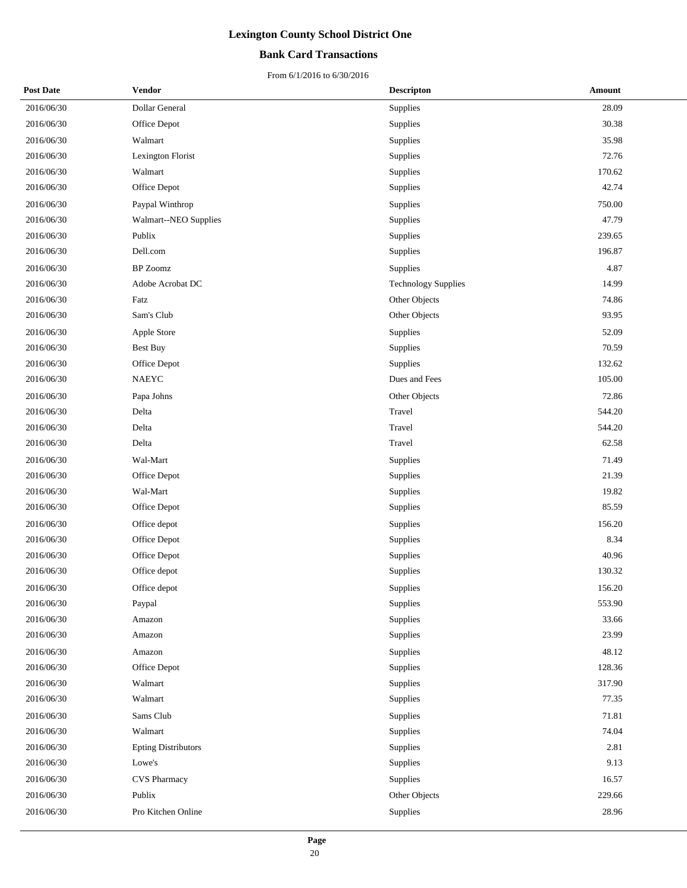### **Bank Card Transactions**

| <b>Post Date</b> | <b>Vendor</b>              | <b>Descripton</b>          | Amount |
|------------------|----------------------------|----------------------------|--------|
| 2016/06/30       | Dollar General             | Supplies                   | 28.09  |
| 2016/06/30       | Office Depot               | Supplies                   | 30.38  |
| 2016/06/30       | Walmart                    | Supplies                   | 35.98  |
| 2016/06/30       | Lexington Florist          | Supplies                   | 72.76  |
| 2016/06/30       | Walmart                    | Supplies                   | 170.62 |
| 2016/06/30       | Office Depot               | Supplies                   | 42.74  |
| 2016/06/30       | Paypal Winthrop            | Supplies                   | 750.00 |
| 2016/06/30       | Walmart--NEO Supplies      | Supplies                   | 47.79  |
| 2016/06/30       | Publix                     | Supplies                   | 239.65 |
| 2016/06/30       | Dell.com                   | Supplies                   | 196.87 |
| 2016/06/30       | <b>BP</b> Zoomz            | Supplies                   | 4.87   |
| 2016/06/30       | Adobe Acrobat DC           | <b>Technology Supplies</b> | 14.99  |
| 2016/06/30       | Fatz                       | Other Objects              | 74.86  |
| 2016/06/30       | Sam's Club                 | Other Objects              | 93.95  |
| 2016/06/30       | Apple Store                | Supplies                   | 52.09  |
| 2016/06/30       | <b>Best Buy</b>            | Supplies                   | 70.59  |
| 2016/06/30       | Office Depot               | Supplies                   | 132.62 |
| 2016/06/30       | NAEYC                      | Dues and Fees              | 105.00 |
| 2016/06/30       | Papa Johns                 | Other Objects              | 72.86  |
| 2016/06/30       | Delta                      | Travel                     | 544.20 |
| 2016/06/30       | Delta                      | Travel                     | 544.20 |
| 2016/06/30       | Delta                      | Travel                     | 62.58  |
| 2016/06/30       | Wal-Mart                   | Supplies                   | 71.49  |
| 2016/06/30       | Office Depot               | Supplies                   | 21.39  |
| 2016/06/30       | Wal-Mart                   | Supplies                   | 19.82  |
| 2016/06/30       | Office Depot               | Supplies                   | 85.59  |
| 2016/06/30       | Office depot               | Supplies                   | 156.20 |
| 2016/06/30       | Office Depot               | Supplies                   | 8.34   |
| 2016/06/30       | Office Depot               | Supplies                   | 40.96  |
| 2016/06/30       | Office depot               | Supplies                   | 130.32 |
| 2016/06/30       | Office depot               | Supplies                   | 156.20 |
| 2016/06/30       | Paypal                     | Supplies                   | 553.90 |
| 2016/06/30       | Amazon                     | Supplies                   | 33.66  |
| 2016/06/30       | Amazon                     | Supplies                   | 23.99  |
| 2016/06/30       | Amazon                     | Supplies                   | 48.12  |
| 2016/06/30       | Office Depot               | Supplies                   | 128.36 |
| 2016/06/30       | Walmart                    | Supplies                   | 317.90 |
| 2016/06/30       | Walmart                    | Supplies                   | 77.35  |
| 2016/06/30       | Sams Club                  | Supplies                   | 71.81  |
| 2016/06/30       | Walmart                    | Supplies                   | 74.04  |
| 2016/06/30       | <b>Epting Distributors</b> | Supplies                   | 2.81   |
| 2016/06/30       | Lowe's                     | Supplies                   | 9.13   |
| 2016/06/30       | <b>CVS Pharmacy</b>        | Supplies                   | 16.57  |
| 2016/06/30       | Publix                     | Other Objects              | 229.66 |
| 2016/06/30       | Pro Kitchen Online         | Supplies                   | 28.96  |
|                  |                            |                            |        |